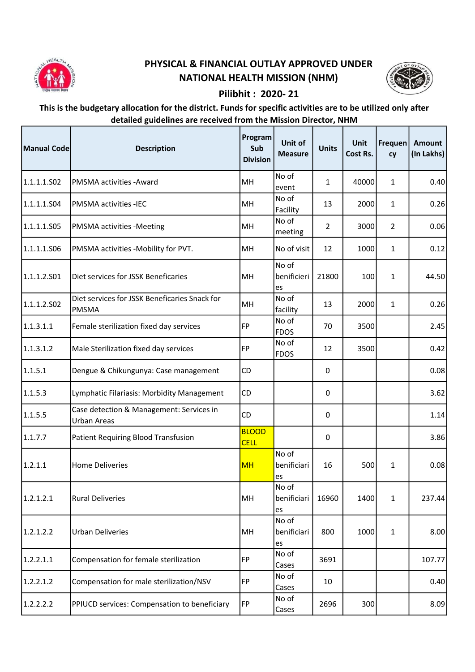

## PHYSICAL & FINANCIAL OUTLAY APPROVED UNDER NATIONAL HEALTH MISSION (NHM)



## Pilibhit : 2020- 21

## This is the budgetary allocation for the district. Funds for specific activities are to be utilized only after detailed guidelines are received from the Mission Director, NHM

| Manual Code | <b>Description</b>                                             | Program<br>Sub<br><b>Division</b> | Unit of<br><b>Measure</b>  | <b>Units</b>   | Unit<br>Cost Rs. | Frequen<br>cy  | Amount<br>(In Lakhs) |
|-------------|----------------------------------------------------------------|-----------------------------------|----------------------------|----------------|------------------|----------------|----------------------|
| 1.1.1.1.502 | PMSMA activities - Award                                       | MH                                | No of<br>event             | $\mathbf{1}$   | 40000            | $\mathbf{1}$   | 0.40                 |
| 1.1.1.1.504 | <b>PMSMA activities -IEC</b>                                   | MH                                | No of<br>Facility          | 13             | 2000             | $\mathbf{1}$   | 0.26                 |
| 1.1.1.1.S05 | PMSMA activities -Meeting                                      | MH                                | No of<br>meeting           | $\overline{2}$ | 3000             | $\overline{2}$ | 0.06                 |
| 1.1.1.1.S06 | PMSMA activities -Mobility for PVT.                            | MH                                | No of visit                | 12             | 1000             | $\mathbf{1}$   | 0.12                 |
| 1.1.1.2.501 | Diet services for JSSK Beneficaries                            | MH                                | No of<br>benificieri<br>es | 21800          | 100              | $\mathbf{1}$   | 44.50                |
| 1.1.1.2.502 | Diet services for JSSK Beneficaries Snack for<br><b>PMSMA</b>  | MH                                | No of<br>facility          | 13             | 2000             | $\mathbf{1}$   | 0.26                 |
| 1.1.3.1.1   | Female sterilization fixed day services                        | FP                                | No of<br><b>FDOS</b>       | 70             | 3500             |                | 2.45                 |
| 1.1.3.1.2   | Male Sterilization fixed day services                          | FP                                | No of<br><b>FDOS</b>       | 12             | 3500             |                | 0.42                 |
| 1.1.5.1     | Dengue & Chikungunya: Case management                          | CD                                |                            | 0              |                  |                | 0.08                 |
| 1.1.5.3     | Lymphatic Filariasis: Morbidity Management                     | CD                                |                            | $\pmb{0}$      |                  |                | 3.62                 |
| 1.1.5.5     | Case detection & Management: Services in<br><b>Urban Areas</b> | <b>CD</b>                         |                            | 0              |                  |                | 1.14                 |
| 1.1.7.7     | <b>Patient Requiring Blood Transfusion</b>                     | <b>BLOOD</b><br><b>CELL</b>       |                            | 0              |                  |                | 3.86                 |
| 1.2.1.1     | <b>Home Deliveries</b>                                         | <b>MH</b>                         | No of<br>benificiari<br>es | 16             | 500              | $\mathbf{1}$   | 0.08                 |
| 1.2.1.2.1   | <b>Rural Deliveries</b>                                        | MH                                | No of<br>benificiari<br>es | 16960          | 1400             | $\mathbf{1}$   | 237.44               |
| 1.2.1.2.2   | <b>Urban Deliveries</b>                                        | MH                                | No of<br>benificiari<br>es | 800            | 1000             | $\mathbf{1}$   | 8.00                 |
| 1.2.2.1.1   | Compensation for female sterilization                          | FP                                | No of<br>Cases             | 3691           |                  |                | 107.77               |
| 1.2.2.1.2   | Compensation for male sterilization/NSV                        | FP                                | No of<br>Cases             | 10             |                  |                | 0.40                 |
| 1.2.2.2.2   | PPIUCD services: Compensation to beneficiary                   | FP                                | No of<br>Cases             | 2696           | 300              |                | 8.09                 |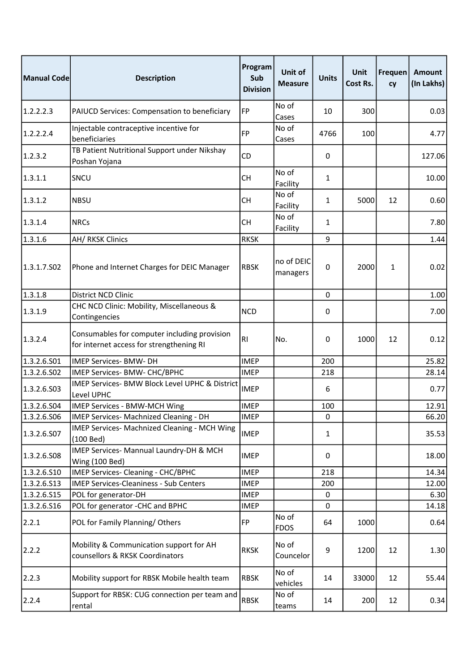| Manual Code | <b>Description</b>                                                                       | Program<br>Sub<br><b>Division</b> | Unit of<br><b>Measure</b> | <b>Units</b> | Unit<br>Cost Rs. | Frequen<br>cy | <b>Amount</b><br>(In Lakhs) |
|-------------|------------------------------------------------------------------------------------------|-----------------------------------|---------------------------|--------------|------------------|---------------|-----------------------------|
| 1.2.2.2.3   | PAIUCD Services: Compensation to beneficiary                                             | <b>FP</b>                         | No of<br>Cases            | 10           | 300              |               | 0.03                        |
| 1.2.2.2.4   | Injectable contraceptive incentive for<br>beneficiaries                                  | <b>FP</b>                         | No of<br>Cases            | 4766         | 100              |               | 4.77                        |
| 1.2.3.2     | TB Patient Nutritional Support under Nikshay<br>Poshan Yojana                            | CD                                |                           | 0            |                  |               | 127.06                      |
| 1.3.1.1     | SNCU                                                                                     | <b>CH</b>                         | No of<br>Facility         | 1            |                  |               | 10.00                       |
| 1.3.1.2     | <b>NBSU</b>                                                                              | <b>CH</b>                         | No of<br>Facility         | 1            | 5000             | 12            | 0.60                        |
| 1.3.1.4     | <b>NRCs</b>                                                                              | <b>CH</b>                         | No of<br>Facility         | 1            |                  |               | 7.80                        |
| 1.3.1.6     | AH/ RKSK Clinics                                                                         | <b>RKSK</b>                       |                           | 9            |                  |               | 1.44                        |
| 1.3.1.7.502 | Phone and Internet Charges for DEIC Manager                                              | <b>RBSK</b>                       | no of DEIC<br>managers    | 0            | 2000             | $\mathbf{1}$  | 0.02                        |
| 1.3.1.8     | District NCD Clinic                                                                      |                                   |                           | 0            |                  |               | 1.00                        |
| 1.3.1.9     | CHC NCD Clinic: Mobility, Miscellaneous &<br>Contingencies                               | <b>NCD</b>                        |                           | 0            |                  |               | 7.00                        |
| 1.3.2.4     | Consumables for computer including provision<br>for internet access for strengthening RI | RI                                | No.                       | 0            | 1000             | 12            | 0.12                        |
| 1.3.2.6.S01 | IMEP Services- BMW- DH                                                                   | <b>IMEP</b>                       |                           | 200          |                  |               | 25.82                       |
| 1.3.2.6.502 | IMEP Services- BMW- CHC/BPHC                                                             | <b>IMEP</b>                       |                           | 218          |                  |               | 28.14                       |
| 1.3.2.6.503 | IMEP Services- BMW Block Level UPHC & District<br>Level UPHC                             | <b>IMEP</b>                       |                           | 6            |                  |               | 0.77                        |
| 1.3.2.6.504 | IMEP Services - BMW-MCH Wing                                                             | <b>IMEP</b>                       |                           | 100          |                  |               | 12.91                       |
| 1.3.2.6.506 | IMEP Services- Machnized Cleaning - DH                                                   | <b>IMEP</b>                       |                           | 0            |                  |               | 66.20                       |
| 1.3.2.6.S07 | IMEP Services- Machnized Cleaning - MCH Wing<br>(100 Bed)                                | <b>IMEP</b>                       |                           | 1            |                  |               | 35.53                       |
| 1.3.2.6.508 | IMEP Services- Mannual Laundry-DH & MCH<br><b>Wing (100 Bed)</b>                         | <b>IMEP</b>                       |                           | 0            |                  |               | 18.00                       |
| 1.3.2.6.510 | IMEP Services- Cleaning - CHC/BPHC                                                       | <b>IMEP</b>                       |                           | 218          |                  |               | 14.34                       |
| 1.3.2.6.513 | <b>IMEP Services-Cleaniness - Sub Centers</b>                                            | <b>IMEP</b>                       |                           | 200          |                  |               | 12.00                       |
| 1.3.2.6.S15 | POL for generator-DH                                                                     | <b>IMEP</b>                       |                           | 0            |                  |               | 6.30                        |
| 1.3.2.6.516 | POL for generator -CHC and BPHC                                                          | <b>IMEP</b>                       |                           | 0            |                  |               | 14.18                       |
| 2.2.1       | POL for Family Planning/Others                                                           | <b>FP</b>                         | No of<br><b>FDOS</b>      | 64           | 1000             |               | 0.64                        |
| 2.2.2       | Mobility & Communication support for AH<br>counsellors & RKSK Coordinators               | <b>RKSK</b>                       | No of<br>Councelor        | 9            | 1200             | 12            | 1.30                        |
| 2.2.3       | Mobility support for RBSK Mobile health team                                             | <b>RBSK</b>                       | No of<br>vehicles         | 14           | 33000            | 12            | 55.44                       |
| 2.2.4       | Support for RBSK: CUG connection per team and<br>rental                                  | <b>RBSK</b>                       | No of<br>teams            | 14           | 200              | 12            | 0.34                        |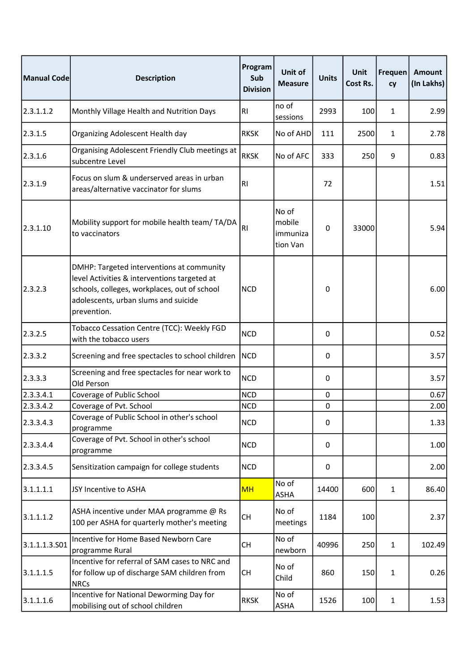| <b>Manual Code</b> | <b>Description</b>                                                                                                                                                                               | Program<br>Sub<br><b>Division</b> | Unit of<br><b>Measure</b>               | <b>Units</b> | Unit<br>Cost Rs. | Frequen<br>cy | <b>Amount</b><br>(In Lakhs) |
|--------------------|--------------------------------------------------------------------------------------------------------------------------------------------------------------------------------------------------|-----------------------------------|-----------------------------------------|--------------|------------------|---------------|-----------------------------|
| 2.3.1.1.2          | Monthly Village Health and Nutrition Days                                                                                                                                                        | <b>RI</b>                         | no of<br>sessions                       | 2993         | 100              | 1             | 2.99                        |
| 2.3.1.5            | Organizing Adolescent Health day                                                                                                                                                                 | <b>RKSK</b>                       | No of AHD                               | 111          | 2500             | $\mathbf{1}$  | 2.78                        |
| 2.3.1.6            | Organising Adolescent Friendly Club meetings at<br>subcentre Level                                                                                                                               | <b>RKSK</b>                       | No of AFC                               | 333          | 250              | 9             | 0.83                        |
| 2.3.1.9            | Focus on slum & underserved areas in urban<br>areas/alternative vaccinator for slums                                                                                                             | R <sub>l</sub>                    |                                         | 72           |                  |               | 1.51                        |
| 2.3.1.10           | Mobility support for mobile health team/ TA/DA<br>to vaccinators                                                                                                                                 | R <sub>l</sub>                    | No of<br>mobile<br>immuniza<br>tion Van | 0            | 33000            |               | 5.94                        |
| 2.3.2.3            | DMHP: Targeted interventions at community<br>level Activities & interventions targeted at<br>schools, colleges, workplaces, out of school<br>adolescents, urban slums and suicide<br>prevention. | <b>NCD</b>                        |                                         | 0            |                  |               | 6.00                        |
| 2.3.2.5            | Tobacco Cessation Centre (TCC): Weekly FGD<br>with the tobacco users                                                                                                                             | <b>NCD</b>                        |                                         | 0            |                  |               | 0.52                        |
| 2.3.3.2            | Screening and free spectacles to school children                                                                                                                                                 | <b>NCD</b>                        |                                         | 0            |                  |               | 3.57                        |
| 2.3.3.3            | Screening and free spectacles for near work to<br>Old Person                                                                                                                                     | <b>NCD</b>                        |                                         | 0            |                  |               | 3.57                        |
| 2.3.3.4.1          | Coverage of Public School                                                                                                                                                                        | <b>NCD</b>                        |                                         | $\pmb{0}$    |                  |               | 0.67                        |
| 2.3.3.4.2          | Coverage of Pvt. School                                                                                                                                                                          | <b>NCD</b>                        |                                         | $\pmb{0}$    |                  |               | 2.00                        |
| 2.3.3.4.3          | Coverage of Public School in other's school<br>programme                                                                                                                                         | <b>NCD</b>                        |                                         | 0            |                  |               | 1.33                        |
| 2.3.3.4.4          | Coverage of Pvt. School in other's school<br>programme                                                                                                                                           | <b>NCD</b>                        |                                         | 0            |                  |               | 1.00                        |
| 2.3.3.4.5          | Sensitization campaign for college students                                                                                                                                                      | <b>NCD</b>                        |                                         | 0            |                  |               | 2.00                        |
| 3.1.1.1.1          | JSY Incentive to ASHA                                                                                                                                                                            | <b>MH</b>                         | No of<br>ASHA                           | 14400        | 600              | $\mathbf{1}$  | 86.40                       |
| 3.1.1.1.2          | ASHA incentive under MAA programme @ Rs<br>100 per ASHA for quarterly mother's meeting                                                                                                           | <b>CH</b>                         | No of<br>meetings                       | 1184         | 100              |               | 2.37                        |
| 3.1.1.1.3.501      | Incentive for Home Based Newborn Care<br>programme Rural                                                                                                                                         | <b>CH</b>                         | No of<br>newborn                        | 40996        | 250              | $\mathbf{1}$  | 102.49                      |
| 3.1.1.1.5          | Incentive for referral of SAM cases to NRC and<br>for follow up of discharge SAM children from<br><b>NRCs</b>                                                                                    | <b>CH</b>                         | No of<br>Child                          | 860          | 150              | $\mathbf{1}$  | 0.26                        |
| 3.1.1.1.6          | Incentive for National Deworming Day for<br>mobilising out of school children                                                                                                                    | <b>RKSK</b>                       | No of<br>ASHA                           | 1526         | 100              | $\mathbf{1}$  | 1.53                        |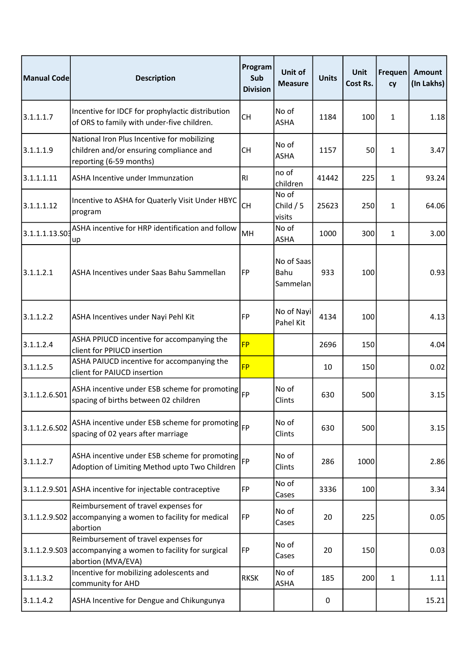| Manual Code    | <b>Description</b>                                                                                                | Program<br>Sub<br><b>Division</b> | Unit of<br><b>Measure</b>      | <b>Units</b> | <b>Unit</b><br>Cost Rs. | Frequen<br>cy | Amount<br>(In Lakhs) |
|----------------|-------------------------------------------------------------------------------------------------------------------|-----------------------------------|--------------------------------|--------------|-------------------------|---------------|----------------------|
| 3.1.1.1.7      | Incentive for IDCF for prophylactic distribution<br>of ORS to family with under-five children.                    | <b>CH</b>                         | No of<br><b>ASHA</b>           | 1184         | 100                     | $\mathbf{1}$  | 1.18                 |
| 3.1.1.1.9      | National Iron Plus Incentive for mobilizing<br>children and/or ensuring compliance and<br>reporting (6-59 months) | СH                                | No of<br><b>ASHA</b>           | 1157         | 50                      | 1             | 3.47                 |
| 3.1.1.1.11     | ASHA Incentive under Immunzation                                                                                  | <b>RI</b>                         | no of<br>children              | 41442        | 225                     | $\mathbf{1}$  | 93.24                |
| 3.1.1.1.12     | Incentive to ASHA for Quaterly Visit Under HBYC<br>program                                                        | <b>CH</b>                         | No of<br>Child $/5$<br>visits  | 25623        | 250                     | 1             | 64.06                |
| 3.1.1.1.13.S03 | ASHA incentive for HRP identification and follow<br>up                                                            | MH                                | No of<br><b>ASHA</b>           | 1000         | 300                     | $\mathbf{1}$  | 3.00                 |
| 3.1.1.2.1      | ASHA Incentives under Saas Bahu Sammellan                                                                         | <b>FP</b>                         | No of Saas<br>Bahu<br>Sammelan | 933          | 100                     |               | 0.93                 |
| 3.1.1.2.2      | ASHA Incentives under Nayi Pehl Kit                                                                               | FP                                | No of Nayi<br>Pahel Kit        | 4134         | 100                     |               | 4.13                 |
| 3.1.1.2.4      | ASHA PPIUCD incentive for accompanying the<br>client for PPIUCD insertion                                         | <b>FP</b>                         |                                | 2696         | 150                     |               | 4.04                 |
| 3.1.1.2.5      | ASHA PAIUCD incentive for accompanying the<br>client for PAIUCD insertion                                         | <b>FP</b>                         |                                | 10           | 150                     |               | 0.02                 |
| 3.1.1.2.6.501  | ASHA incentive under ESB scheme for promoting<br>spacing of births between 02 children                            | <b>FP</b>                         | No of<br>Clints                | 630          | 500                     |               | 3.15                 |
| 3.1.1.2.6.S02  | ASHA incentive under ESB scheme for promoting $ _{\text{FP}}$<br>spacing of 02 years after marriage               |                                   | No of<br>Clints                | 630          | 500                     |               | 3.15                 |
| 3.1.1.2.7      | ASHA incentive under ESB scheme for promoting $ _{\text{FP}}$<br>Adoption of Limiting Method upto Two Children    |                                   | No of<br>Clints                | 286          | 1000                    |               | 2.86                 |
| 3.1.1.2.9.S01  | ASHA incentive for injectable contraceptive                                                                       | <b>FP</b>                         | No of<br>Cases                 | 3336         | 100                     |               | 3.34                 |
| 3.1.1.2.9.502  | Reimbursement of travel expenses for<br>accompanying a women to facility for medical<br>abortion                  | <b>FP</b>                         | No of<br>Cases                 | 20           | 225                     |               | 0.05                 |
| 3.1.1.2.9.503  | Reimbursement of travel expenses for<br>accompanying a women to facility for surgical<br>abortion (MVA/EVA)       | FP                                | No of<br>Cases                 | 20           | 150                     |               | 0.03                 |
| 3.1.1.3.2      | Incentive for mobilizing adolescents and<br>community for AHD                                                     | <b>RKSK</b>                       | No of<br><b>ASHA</b>           | 185          | 200                     | $\mathbf{1}$  | 1.11                 |
| 3.1.1.4.2      | ASHA Incentive for Dengue and Chikungunya                                                                         |                                   |                                | 0            |                         |               | 15.21                |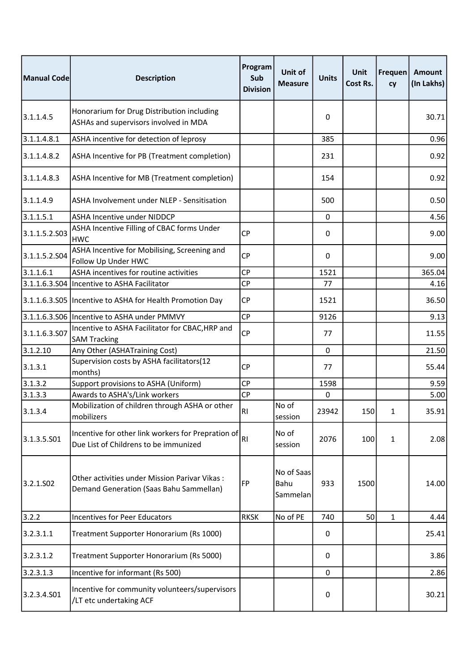| Manual Code           | <b>Description</b>                                                                          | Program<br>Sub<br><b>Division</b> | Unit of<br><b>Measure</b>      | <b>Units</b> | Unit<br>Cost Rs. | <b>Frequen</b><br>cy | Amount<br>(In Lakhs) |
|-----------------------|---------------------------------------------------------------------------------------------|-----------------------------------|--------------------------------|--------------|------------------|----------------------|----------------------|
| 3.1.1.4.5             | Honorarium for Drug Distribution including<br>ASHAs and supervisors involved in MDA         |                                   |                                | 0            |                  |                      | 30.71                |
| 3.1.1.4.8.1           | ASHA incentive for detection of leprosy                                                     |                                   |                                | 385          |                  |                      | 0.96                 |
| 3.1.1.4.8.2           | ASHA Incentive for PB (Treatment completion)                                                |                                   |                                | 231          |                  |                      | 0.92                 |
| 3.1.1.4.8.3           | ASHA Incentive for MB (Treatment completion)                                                |                                   |                                | 154          |                  |                      | 0.92                 |
| 3.1.1.4.9             | ASHA Involvement under NLEP - Sensitisation                                                 |                                   |                                | 500          |                  |                      | 0.50                 |
| 3.1.1.5.1             | ASHA Incentive under NIDDCP                                                                 |                                   |                                | 0            |                  |                      | 4.56                 |
| 3.1.1.5.2.503         | ASHA Incentive Filling of CBAC forms Under<br><b>HWC</b>                                    | <b>CP</b>                         |                                | 0            |                  |                      | 9.00                 |
| 3.1.1.5.2.504         | ASHA Incentive for Mobilising, Screening and<br>Follow Up Under HWC                         | <b>CP</b>                         |                                | 0            |                  |                      | 9.00                 |
| 3.1.1.6.1             | ASHA incentives for routine activities                                                      | <b>CP</b>                         |                                | 1521         |                  |                      | 365.04               |
| 3.1.1.6.3.504         | Incentive to ASHA Facilitator                                                               | <b>CP</b>                         |                                | 77           |                  |                      | 4.16                 |
| 3.1.1.6.3.S05         | Incentive to ASHA for Health Promotion Day                                                  | <b>CP</b>                         |                                | 1521         |                  |                      | 36.50                |
|                       | 3.1.1.6.3.S06 Incentive to ASHA under PMMVY                                                 | <b>CP</b>                         |                                | 9126         |                  |                      | 9.13                 |
| 3.1.1.6.3.S07         | Incentive to ASHA Facilitator for CBAC, HRP and<br><b>SAM Tracking</b>                      | <b>CP</b>                         |                                | 77           |                  |                      | 11.55                |
| 3.1.2.10              | Any Other (ASHATraining Cost)                                                               |                                   |                                | $\mathbf 0$  |                  |                      | 21.50                |
| 3.1.3.1               | Supervision costs by ASHA facilitators(12<br>months)                                        | <b>CP</b>                         |                                | 77           |                  |                      | 55.44                |
| 3.1.3.2               | Support provisions to ASHA (Uniform)                                                        | <b>CP</b>                         |                                | 1598         |                  |                      | 9.59                 |
| 3.1.3.3               | Awards to ASHA's/Link workers                                                               | <b>CP</b>                         |                                | 0            |                  |                      | 5.00                 |
| 3.1.3.4               | Mobilization of children through ASHA or other<br>mobilizers                                | RI                                | No of<br>session               | 23942        | 150 <sup>1</sup> | 1                    | 35.91l               |
| 3.1.3.5.501           | Incentive for other link workers for Prepration of<br>Due List of Childrens to be immunized | R1                                | No of<br>session               | 2076         | 100              | 1                    | 2.08                 |
| 3.2.1.SO <sub>2</sub> | Other activities under Mission Parivar Vikas:<br>Demand Generation (Saas Bahu Sammellan)    | <b>FP</b>                         | No of Saas<br>Bahu<br>Sammelan | 933          | 1500             |                      | 14.00                |
| 3.2.2                 | <b>Incentives for Peer Educators</b>                                                        | <b>RKSK</b>                       | No of PE                       | 740          | 50               | $\mathbf{1}$         | 4.44                 |
| 3.2.3.1.1             | Treatment Supporter Honorarium (Rs 1000)                                                    |                                   |                                | 0            |                  |                      | 25.41                |
| 3.2.3.1.2             | Treatment Supporter Honorarium (Rs 5000)                                                    |                                   |                                | 0            |                  |                      | 3.86                 |
| 3.2.3.1.3             | Incentive for informant (Rs 500)                                                            |                                   |                                | 0            |                  |                      | 2.86                 |
| 3.2.3.4.501           | Incentive for community volunteers/supervisors<br>/LT etc undertaking ACF                   |                                   |                                | 0            |                  |                      | 30.21                |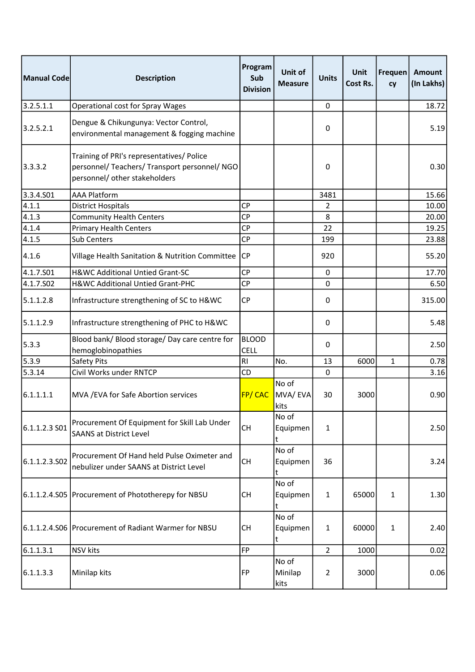| Manual Code   | <b>Description</b>                                                                                                          | Program<br>Sub<br><b>Division</b> | <b>Unit of</b><br><b>Measure</b> | <b>Units</b>     | Unit<br>Cost Rs. | <b>Frequen</b><br>cy | <b>Amount</b><br>(In Lakhs) |
|---------------|-----------------------------------------------------------------------------------------------------------------------------|-----------------------------------|----------------------------------|------------------|------------------|----------------------|-----------------------------|
| 3.2.5.1.1     | <b>Operational cost for Spray Wages</b>                                                                                     |                                   |                                  | 0                |                  |                      | 18.72                       |
| 3.2.5.2.1     | Dengue & Chikungunya: Vector Control,<br>environmental management & fogging machine                                         |                                   |                                  | 0                |                  |                      | 5.19                        |
| 3.3.3.2       | Training of PRI's representatives/ Police<br>personnel/ Teachers/ Transport personnel/ NGO<br>personnel/ other stakeholders |                                   |                                  | 0                |                  |                      | 0.30                        |
| 3.3.4.501     | <b>AAA Platform</b>                                                                                                         |                                   |                                  | 3481             |                  |                      | 15.66                       |
| 4.1.1         | <b>District Hospitals</b>                                                                                                   | <b>CP</b>                         |                                  | $\overline{2}$   |                  |                      | 10.00                       |
| 4.1.3         | <b>Community Health Centers</b>                                                                                             | <b>CP</b>                         |                                  | 8                |                  |                      | 20.00                       |
| 4.1.4         | <b>Primary Health Centers</b>                                                                                               | <b>CP</b>                         |                                  | 22               |                  |                      | 19.25                       |
| 4.1.5         | Sub Centers                                                                                                                 | <b>CP</b>                         |                                  | 199              |                  |                      | 23.88                       |
| 4.1.6         | Village Health Sanitation & Nutrition Committee                                                                             | <b>CP</b>                         |                                  | 920              |                  |                      | 55.20                       |
| 4.1.7.501     | H&WC Additional Untied Grant-SC                                                                                             | <b>CP</b>                         |                                  | 0                |                  |                      | 17.70                       |
| 4.1.7.S02     | H&WC Additional Untied Grant-PHC                                                                                            | <b>CP</b>                         |                                  | 0                |                  |                      | 6.50                        |
| 5.1.1.2.8     | Infrastructure strengthening of SC to H&WC                                                                                  | <b>CP</b>                         |                                  | 0                |                  |                      | 315.00                      |
| 5.1.1.2.9     | Infrastructure strengthening of PHC to H&WC                                                                                 |                                   |                                  | $\boldsymbol{0}$ |                  |                      | 5.48                        |
| 5.3.3         | Blood bank/ Blood storage/ Day care centre for                                                                              | <b>BLOOD</b>                      |                                  | 0                |                  |                      | 2.50                        |
|               | hemoglobinopathies                                                                                                          | CELL                              |                                  |                  |                  |                      |                             |
| 5.3.9         | Safety Pits                                                                                                                 | R1                                | No.                              | 13               | 6000             | $\mathbf{1}$         | 0.78                        |
| 5.3.14        | Civil Works under RNTCP                                                                                                     | CD                                |                                  | 0                |                  |                      | 3.16                        |
| 6.1.1.1.1     | MVA / EVA for Safe Abortion services                                                                                        | FP/CAC                            | No of<br>MVA/EVA<br>kits         | 30               | 3000             |                      | 0.90                        |
| 6.1.1.2.3 S01 | Procurement Of Equipment for Skill Lab Under<br><b>SAANS at District Level</b>                                              | <b>CH</b>                         | No of<br>Equipmen                | 1                |                  |                      | 2.50                        |
| 6.1.1.2.3.502 | Procurement Of Hand held Pulse Oximeter and<br>nebulizer under SAANS at District Level                                      | <b>CH</b>                         | No of<br>Equipmen<br>t           | 36               |                  |                      | 3.24                        |
|               | 6.1.1.2.4.S05 Procurement of Phototherepy for NBSU                                                                          | <b>CH</b>                         | No of<br>Equipmen                | $\mathbf{1}$     | 65000            | $\mathbf{1}$         | 1.30                        |
|               | 6.1.1.2.4.S06 Procurement of Radiant Warmer for NBSU                                                                        | <b>CH</b>                         | No of<br>Equipmen<br>t           | $\mathbf{1}$     | 60000            | $\mathbf{1}$         | 2.40                        |
| 6.1.1.3.1     | <b>NSV</b> kits                                                                                                             | <b>FP</b>                         |                                  | $\overline{2}$   | 1000             |                      | 0.02                        |
| 6.1.1.3.3     | Minilap kits                                                                                                                | FP                                | No of<br>Minilap<br>kits         | $\overline{2}$   | 3000             |                      | 0.06                        |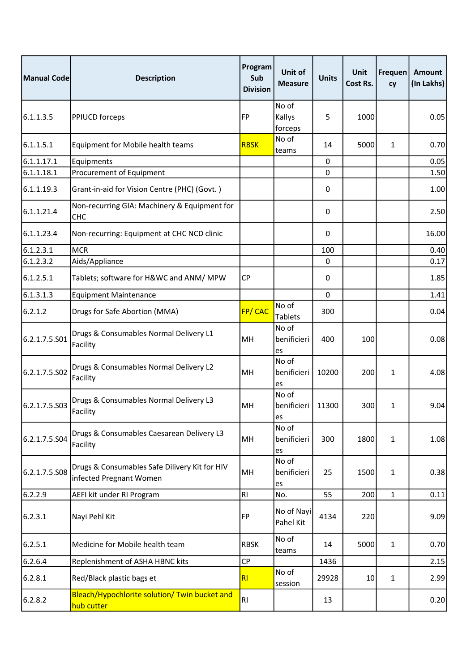| Manual Code   | <b>Description</b>                                                       | Program<br>Sub<br><b>Division</b> | Unit of<br><b>Measure</b>  | <b>Units</b> | Unit<br>Cost Rs. | Frequen<br>cy | <b>Amount</b><br>(In Lakhs) |
|---------------|--------------------------------------------------------------------------|-----------------------------------|----------------------------|--------------|------------------|---------------|-----------------------------|
| 6.1.1.3.5     | PPIUCD forceps                                                           | <b>FP</b>                         | No of<br>Kallys<br>forceps | 5            | 1000             |               | 0.05                        |
| 6.1.1.5.1     | Equipment for Mobile health teams                                        | <b>RBSK</b>                       | No of<br>teams             | 14           | 5000             | 1             | 0.70                        |
| 6.1.1.17.1    | Equipments                                                               |                                   |                            | 0            |                  |               | 0.05                        |
| 6.1.1.18.1    | Procurement of Equipment                                                 |                                   |                            | 0            |                  |               | 1.50                        |
| 6.1.1.19.3    | Grant-in-aid for Vision Centre (PHC) (Govt.)                             |                                   |                            | 0            |                  |               | 1.00                        |
| 6.1.1.21.4    | Non-recurring GIA: Machinery & Equipment for<br>CHC                      |                                   |                            | 0            |                  |               | 2.50                        |
| 6.1.1.23.4    | Non-recurring: Equipment at CHC NCD clinic                               |                                   |                            | 0            |                  |               | 16.00                       |
| 6.1.2.3.1     | <b>MCR</b>                                                               |                                   |                            | 100          |                  |               | 0.40                        |
| 6.1.2.3.2     | Aids/Appliance                                                           |                                   |                            | 0            |                  |               | 0.17                        |
| 6.1.2.5.1     | Tablets; software for H&WC and ANM/ MPW                                  | <b>CP</b>                         |                            | 0            |                  |               | 1.85                        |
| 6.1.3.1.3     | <b>Equipment Maintenance</b>                                             |                                   |                            | 0            |                  |               | 1.41                        |
| 6.2.1.2       | Drugs for Safe Abortion (MMA)                                            | FP/CAC                            | No of<br><b>Tablets</b>    | 300          |                  |               | 0.04                        |
| 6.2.1.7.5.S01 | Drugs & Consumables Normal Delivery L1<br>Facility                       | MH                                | No of<br>benificieri<br>es | 400          | 100              |               | 0.08                        |
| 6.2.1.7.5.S02 | Drugs & Consumables Normal Delivery L2<br>Facility                       | MH                                | No of<br>benificieri<br>es | 10200        | 200              | 1             | 4.08                        |
| 6.2.1.7.5.503 | Drugs & Consumables Normal Delivery L3<br>Facility                       | MH                                | No of<br>benificieri<br>es | 11300        | 300              | 1             | 9.04                        |
| 6.2.1.7.5.504 | Drugs & Consumables Caesarean Delivery L3<br>Facility                    | MH                                | No of<br>benificieri<br>es | 300          | 1800             | $\mathbf{1}$  | 1.08                        |
| 6.2.1.7.5.S08 | Drugs & Consumables Safe Dilivery Kit for HIV<br>infected Pregnant Women | MH                                | No of<br>benificieri<br>es | 25           | 1500             | $\mathbf{1}$  | 0.38                        |
| 6.2.2.9       | AEFI kit under RI Program                                                | <b>RI</b>                         | No.                        | 55           | 200              | $\mathbf{1}$  | 0.11                        |
| 6.2.3.1       | Nayi Pehl Kit                                                            | FP                                | No of Nayi<br>Pahel Kit    | 4134         | 220              |               | 9.09                        |
| 6.2.5.1       | Medicine for Mobile health team                                          | <b>RBSK</b>                       | No of<br>teams             | 14           | 5000             | $\mathbf{1}$  | 0.70                        |
| 6.2.6.4       | Replenishment of ASHA HBNC kits                                          | <b>CP</b>                         |                            | 1436         |                  |               | 2.15                        |
| 6.2.8.1       | Red/Black plastic bags et                                                | R <sub>l</sub>                    | No of<br>session           | 29928        | 10               | $\mathbf{1}$  | 2.99                        |
| 6.2.8.2       | Bleach/Hypochlorite solution/ Twin bucket and<br>hub cutter              | R1                                |                            | 13           |                  |               | 0.20                        |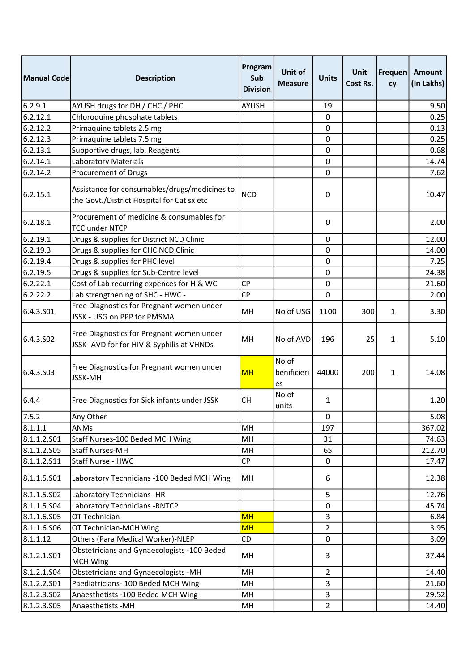| Manual Code | <b>Description</b>                                                                          | Program<br>Sub<br><b>Division</b> | <b>Unit of</b><br><b>Measure</b> | <b>Units</b>   | Unit<br>Cost Rs. | Frequen<br>cy | <b>Amount</b><br>(In Lakhs) |
|-------------|---------------------------------------------------------------------------------------------|-----------------------------------|----------------------------------|----------------|------------------|---------------|-----------------------------|
| 6.2.9.1     | AYUSH drugs for DH / CHC / PHC                                                              | <b>AYUSH</b>                      |                                  | 19             |                  |               | 9.50                        |
| 6.2.12.1    | Chloroquine phosphate tablets                                                               |                                   |                                  | 0              |                  |               | 0.25                        |
| 6.2.12.2    | Primaquine tablets 2.5 mg                                                                   |                                   |                                  | 0              |                  |               | 0.13                        |
| 6.2.12.3    | Primaquine tablets 7.5 mg                                                                   |                                   |                                  | 0              |                  |               | 0.25                        |
| 6.2.13.1    | Supportive drugs, lab. Reagents                                                             |                                   |                                  | 0              |                  |               | 0.68                        |
| 6.2.14.1    | <b>Laboratory Materials</b>                                                                 |                                   |                                  | 0              |                  |               | 14.74                       |
| 6.2.14.2    | Procurement of Drugs                                                                        |                                   |                                  | 0              |                  |               | 7.62                        |
| 6.2.15.1    | Assistance for consumables/drugs/medicines to<br>the Govt./District Hospital for Cat sx etc | <b>NCD</b>                        |                                  | 0              |                  |               | 10.47                       |
| 6.2.18.1    | Procurement of medicine & consumables for<br><b>TCC under NTCP</b>                          |                                   |                                  | 0              |                  |               | 2.00                        |
| 6.2.19.1    | Drugs & supplies for District NCD Clinic                                                    |                                   |                                  | 0              |                  |               | 12.00                       |
| 6.2.19.3    | Drugs & supplies for CHC NCD Clinic                                                         |                                   |                                  | 0              |                  |               | 14.00                       |
| 6.2.19.4    | Drugs & supplies for PHC level                                                              |                                   |                                  | 0              |                  |               | 7.25                        |
| 6.2.19.5    | Drugs & supplies for Sub-Centre level                                                       |                                   |                                  | 0              |                  |               | 24.38                       |
| 6.2.22.1    | Cost of Lab recurring expences for H & WC                                                   | <b>CP</b>                         |                                  | 0              |                  |               | 21.60                       |
| 6.2.22.2    | Lab strengthening of SHC - HWC -                                                            | <b>CP</b>                         |                                  | 0              |                  |               | 2.00                        |
| 6.4.3.501   | Free Diagnostics for Pregnant women under<br>JSSK - USG on PPP for PMSMA                    | MH                                | No of USG                        | 1100           | 300              | $\mathbf{1}$  | 3.30                        |
| 6.4.3.502   | Free Diagnostics for Pregnant women under<br>JSSK- AVD for for HIV & Syphilis at VHNDs      | MН                                | No of AVD                        | 196            | 25               | 1             | 5.10                        |
| 6.4.3.503   | Free Diagnostics for Pregnant women under<br><b>JSSK-MH</b>                                 | <b>MH</b>                         | No of<br>benificieri<br>es       | 44000          | 200              | $\mathbf{1}$  | 14.08                       |
| 6.4.4       | Free Diagnostics for Sick infants under JSSK                                                | CН                                | No of<br>units                   | 1              |                  |               | 1.20                        |
| 7.5.2       | Any Other                                                                                   |                                   |                                  | $\pmb{0}$      |                  |               | 5.08                        |
| 8.1.1.1     | ANMs                                                                                        | MH                                |                                  | 197            |                  |               | 367.02                      |
| 8.1.1.2.501 | Staff Nurses-100 Beded MCH Wing                                                             | MH                                |                                  | 31             |                  |               | 74.63                       |
| 8.1.1.2.505 | <b>Staff Nurses-MH</b>                                                                      | MH                                |                                  | 65             |                  |               | 212.70                      |
| 8.1.1.2.511 | Staff Nurse - HWC                                                                           | <b>CP</b>                         |                                  | 0              |                  |               | 17.47                       |
| 8.1.1.5.501 | Laboratory Technicians -100 Beded MCH Wing                                                  | MH                                |                                  | 6              |                  |               | 12.38                       |
| 8.1.1.5.502 | Laboratory Technicians -HR                                                                  |                                   |                                  | 5              |                  |               | 12.76                       |
| 8.1.1.5.504 | Laboratory Technicians - RNTCP                                                              |                                   |                                  | 0              |                  |               | 45.74                       |
| 8.1.1.6.505 | OT Technician                                                                               | <b>MH</b>                         |                                  | 3              |                  |               | 6.84                        |
| 8.1.1.6.506 | OT Technician-MCH Wing                                                                      | <b>MH</b>                         |                                  | $\overline{2}$ |                  |               | 3.95                        |
| 8.1.1.12    | Others (Para Medical Worker)-NLEP                                                           | CD                                |                                  | 0              |                  |               | 3.09                        |
| 8.1.2.1.501 | Obstetricians and Gynaecologists -100 Beded<br><b>MCH Wing</b>                              | MH                                |                                  | 3              |                  |               | 37.44                       |
| 8.1.2.1.504 | <b>Obstetricians and Gynaecologists -MH</b>                                                 | MH                                |                                  | $\overline{2}$ |                  |               | 14.40                       |
| 8.1.2.2.501 | Paediatricians- 100 Beded MCH Wing                                                          | MH                                |                                  | 3              |                  |               | 21.60                       |
| 8.1.2.3.502 | Anaesthetists - 100 Beded MCH Wing                                                          | MH                                |                                  | 3              |                  |               | 29.52                       |
| 8.1.2.3.505 | Anaesthetists - MH                                                                          | MH                                |                                  | $\overline{2}$ |                  |               | 14.40                       |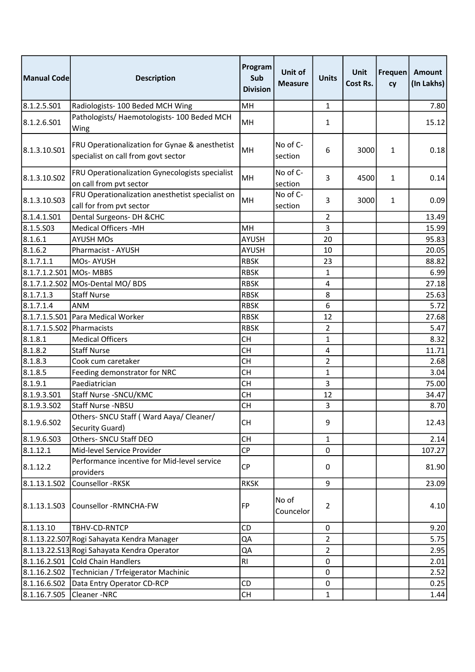| Manual Code             | <b>Description</b>                                                                    | Program<br>Sub<br><b>Division</b> | Unit of<br><b>Measure</b> | <b>Units</b>   | Unit<br>Cost Rs. | Frequen<br>cy | Amount<br>(In Lakhs) |
|-------------------------|---------------------------------------------------------------------------------------|-----------------------------------|---------------------------|----------------|------------------|---------------|----------------------|
| 8.1.2.5.S01             | Radiologists- 100 Beded MCH Wing                                                      | MH                                |                           | 1              |                  |               | 7.80                 |
| 8.1.2.6.501             | Pathologists/ Haemotologists- 100 Beded MCH<br>Wing                                   | MH                                |                           | 1              |                  |               | 15.12                |
| 8.1.3.10.S01            | FRU Operationalization for Gynae & anesthetist<br>specialist on call from govt sector | MH                                | No of $C$ -<br>section    | 6              | 3000             | $\mathbf{1}$  | 0.18                 |
| 8.1.3.10.S02            | FRU Operationalization Gynecologists specialist<br>on call from pvt sector            | MH                                | No of C-<br>section       | 3              | 4500             | $\mathbf{1}$  | 0.14                 |
| 8.1.3.10.S03            | FRU Operationalization anesthetist specialist on<br>call for from pvt sector          | MH                                | No of C-<br>section       | 3              | 3000             | $\mathbf{1}$  | 0.09                 |
| 8.1.4.1.501             | Dental Surgeons- DH & CHC                                                             |                                   |                           | $\overline{2}$ |                  |               | 13.49                |
| 8.1.5.503               | <b>Medical Officers -MH</b>                                                           | MH                                |                           | 3              |                  |               | 15.99                |
| 8.1.6.1                 | <b>AYUSH MOs</b>                                                                      | <b>AYUSH</b>                      |                           | 20             |                  |               | 95.83                |
| 8.1.6.2                 | Pharmacist - AYUSH                                                                    | <b>AYUSH</b>                      |                           | 10             |                  |               | 20.05                |
| 8.1.7.1.1               | MOs-AYUSH                                                                             | <b>RBSK</b>                       |                           | 23             |                  |               | 88.82                |
| 8.1.7.1.2.S01 MOs- MBBS |                                                                                       | <b>RBSK</b>                       |                           | 1              |                  |               | 6.99                 |
|                         | 8.1.7.1.2.S02 MOs-Dental MO/ BDS                                                      | <b>RBSK</b>                       |                           | 4              |                  |               | 27.18                |
| 8.1.7.1.3               | <b>Staff Nurse</b>                                                                    | <b>RBSK</b>                       |                           | 8              |                  |               | 25.63                |
| 8.1.7.1.4               | <b>ANM</b>                                                                            | <b>RBSK</b>                       |                           | 6              |                  |               | 5.72                 |
|                         | 8.1.7.1.5.S01 Para Medical Worker                                                     | <b>RBSK</b>                       |                           | 12             |                  |               | 27.68                |
| 8.1.7.1.5.S02           | Pharmacists                                                                           | <b>RBSK</b>                       |                           | $\overline{2}$ |                  |               | 5.47                 |
| 8.1.8.1                 | <b>Medical Officers</b>                                                               | <b>CH</b>                         |                           | 1              |                  |               | 8.32                 |
| 8.1.8.2                 | <b>Staff Nurse</b>                                                                    | <b>CH</b>                         |                           | 4              |                  |               | 11.71                |
| 8.1.8.3                 | Cook cum caretaker                                                                    | <b>CH</b>                         |                           | 2              |                  |               | 2.68                 |
| 8.1.8.5                 | Feeding demonstrator for NRC                                                          | <b>CH</b>                         |                           | 1              |                  |               | 3.04                 |
| 8.1.9.1                 | Paediatrician                                                                         | <b>CH</b>                         |                           | 3              |                  |               | 75.00                |
| 8.1.9.3.501             | Staff Nurse - SNCU/KMC                                                                | <b>CH</b>                         |                           | 12             |                  |               | 34.47                |
| 8.1.9.3.502             | Staff Nurse -NBSU                                                                     | <b>CH</b>                         |                           | 3              |                  |               | 8.70                 |
| 8.1.9.6.S02             | Others- SNCU Staff (Ward Aaya/ Cleaner/<br>Security Guard)                            | <b>CH</b>                         |                           | 9              |                  |               | 12.43                |
| 8.1.9.6.503             | Others- SNCU Staff DEO                                                                | <b>CH</b>                         |                           | 1              |                  |               | 2.14                 |
| 8.1.12.1                | Mid-level Service Provider                                                            | <b>CP</b>                         |                           | 0              |                  |               | 107.27               |
| 8.1.12.2                | Performance incentive for Mid-level service<br>providers                              | СP                                |                           | 0              |                  |               | 81.90                |
| 8.1.13.1.502            | Counsellor -RKSK                                                                      | <b>RKSK</b>                       |                           | 9              |                  |               | 23.09                |
| 8.1.13.1.503            | Counsellor -RMNCHA-FW                                                                 | <b>FP</b>                         | No of<br>Councelor        | $\overline{2}$ |                  |               | 4.10                 |
| 8.1.13.10               | TBHV-CD-RNTCP                                                                         | CD                                |                           | 0              |                  |               | 9.20                 |
|                         | 8.1.13.22.S07 Rogi Sahayata Kendra Manager                                            | QA                                |                           | $\overline{2}$ |                  |               | 5.75                 |
|                         | 8.1.13.22.S13 Rogi Sahayata Kendra Operator                                           | QA                                |                           | $\overline{2}$ |                  |               | 2.95                 |
| 8.1.16.2.501            | Cold Chain Handlers                                                                   | R <sub>l</sub>                    |                           | 0              |                  |               | 2.01                 |
| 8.1.16.2.502            | Technician / Trfeigerator Machinic                                                    |                                   |                           | 0              |                  |               | 2.52                 |
| 8.1.16.6.502            | Data Entry Operator CD-RCP                                                            | CD                                |                           | 0              |                  |               | 0.25                 |
| 8.1.16.7.505            | Cleaner-NRC                                                                           | <b>CH</b>                         |                           | $\mathbf{1}$   |                  |               | 1.44                 |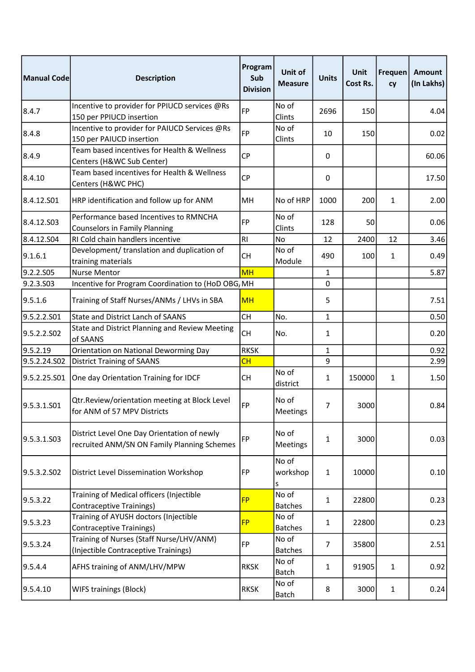| <b>Manual Code</b>      | <b>Description</b>                                                                         | Program<br>Sub<br><b>Division</b> | Unit of<br><b>Measure</b> | <b>Units</b>   | Unit<br>Cost Rs. | Frequen<br>cy | Amount<br>(In Lakhs) |
|-------------------------|--------------------------------------------------------------------------------------------|-----------------------------------|---------------------------|----------------|------------------|---------------|----------------------|
| 8.4.7                   | Incentive to provider for PPIUCD services @Rs<br>150 per PPIUCD insertion                  | <b>FP</b>                         | No of<br>Clints           | 2696           | 150              |               | 4.04                 |
| 8.4.8                   | Incentive to provider for PAIUCD Services @Rs<br>150 per PAIUCD insertion                  | <b>FP</b>                         | No of<br>Clints           | 10             | 150              |               | 0.02                 |
| 8.4.9                   | Team based incentives for Health & Wellness<br>Centers (H&WC Sub Center)                   | <b>CP</b>                         |                           | 0              |                  |               | 60.06                |
| 8.4.10                  | Team based incentives for Health & Wellness<br>Centers (H&WC PHC)                          | <b>CP</b>                         |                           | 0              |                  |               | 17.50                |
| 8.4.12.501              | HRP identification and follow up for ANM                                                   | MH                                | No of HRP                 | 1000           | 200              | $\mathbf{1}$  | 2.00                 |
| 8.4.12.503              | Performance based Incentives to RMNCHA<br><b>Counselors in Family Planning</b>             | <b>FP</b>                         | No of<br>Clints           | 128            | 50               |               | 0.06                 |
| 8.4.12.504              | RI Cold chain handlers incentive                                                           | RI                                | <b>No</b>                 | 12             | 2400             | 12            | 3.46                 |
| 9.1.6.1                 | Development/ translation and duplication of<br>training materials                          | <b>CH</b>                         | No of<br>Module           | 490            | 100              | 1             | 0.49                 |
| 9.2.2.S05               | <b>Nurse Mentor</b>                                                                        | <b>MH</b>                         |                           | 1              |                  |               | 5.87                 |
| 9.2.3.S03               | Incentive for Program Coordination to (HoD OBG, MH                                         |                                   |                           | 0              |                  |               |                      |
| 9.5.1.6                 | Training of Staff Nurses/ANMs / LHVs in SBA                                                | <b>MH</b>                         |                           | 5              |                  |               | 7.51                 |
| 9.5.2.2.S01             | <b>State and District Lanch of SAANS</b>                                                   | <b>CH</b>                         | No.                       | 1              |                  |               | 0.50                 |
| 9.5.2.2.S02             | State and District Planning and Review Meeting<br>of SAANS                                 | <b>CH</b>                         | No.                       | 1              |                  |               | 0.20                 |
| 9.5.2.19                | Orientation on National Deworming Day                                                      | <b>RKSK</b>                       |                           | 1              |                  |               | 0.92                 |
| 9.5.2.24.S02            | <b>District Training of SAANS</b>                                                          | CH                                |                           | 9              |                  |               | 2.99                 |
| 9.5.2.25.S01            | One day Orientation Training for IDCF                                                      | <b>CH</b>                         | No of<br>district         | 1              | 150000           | 1             | 1.50                 |
| 9.5.3.1.S01             | Qtr.Review/orientation meeting at Block Level<br>for ANM of 57 MPV Districts               | FP                                | No of<br>Meetings         | 7              | 3000             |               | 0.84                 |
| 9.5.3.1.S03             | District Level One Day Orientation of newly<br>recruited ANM/SN ON Family Planning Schemes | FP                                | No of<br>Meetings         | 1              | 3000             |               | 0.03                 |
| 9.5.3.2.SO <sub>2</sub> | District Level Dissemination Workshop                                                      | FP                                | No of<br>workshop<br>S    | 1              | 10000            |               | 0.10                 |
| 9.5.3.22                | Training of Medical officers (Injectible<br><b>Contraceptive Trainings)</b>                | <b>FP</b>                         | No of<br><b>Batches</b>   | 1              | 22800            |               | 0.23                 |
| 9.5.3.23                | Training of AYUSH doctors (Injectible<br>Contraceptive Trainings)                          | <b>FP</b>                         | No of<br><b>Batches</b>   | 1              | 22800            |               | 0.23                 |
| 9.5.3.24                | Training of Nurses (Staff Nurse/LHV/ANM)<br>(Injectible Contraceptive Trainings)           | <b>FP</b>                         | No of<br><b>Batches</b>   | $\overline{7}$ | 35800            |               | 2.51                 |
| 9.5.4.4                 | AFHS training of ANM/LHV/MPW                                                               | <b>RKSK</b>                       | No of<br><b>Batch</b>     | 1              | 91905            | $\mathbf{1}$  | 0.92                 |
| 9.5.4.10                | WIFS trainings (Block)                                                                     | <b>RKSK</b>                       | No of<br>Batch            | 8              | 3000             | $\mathbf{1}$  | 0.24                 |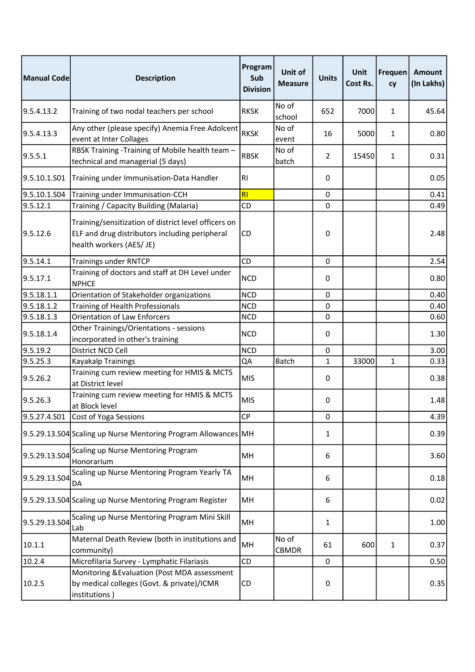| Manual Code   | <b>Description</b>                                                                                                                 | Program<br>Sub<br><b>Division</b> | Unit of<br><b>Measure</b> | <b>Units</b>   | Unit<br>Cost Rs. | Frequen<br>cy | <b>Amount</b><br>(In Lakhs) |
|---------------|------------------------------------------------------------------------------------------------------------------------------------|-----------------------------------|---------------------------|----------------|------------------|---------------|-----------------------------|
| 9.5.4.13.2    | Training of two nodal teachers per school                                                                                          | <b>RKSK</b>                       | No of<br>school           | 652            | 7000             | 1             | 45.64                       |
| 9.5.4.13.3    | Any other (please specify) Anemia Free Adolcent<br>event at Inter Collages                                                         | <b>RKSK</b>                       | No of<br>event            | 16             | 5000             | 1             | 0.80                        |
| 9.5.5.1       | RBSK Training -Training of Mobile health team -<br>technical and managerial (5 days)                                               | <b>RBSK</b>                       | No of<br>batch            | $\overline{2}$ | 15450            | $\mathbf{1}$  | 0.31                        |
| 9.5.10.1.S01  | Training under Immunisation-Data Handler                                                                                           | RI                                |                           | 0              |                  |               | 0.05                        |
| 9.5.10.1.S04  | Training under Immunisation-CCH                                                                                                    | RI                                |                           | 0              |                  |               | 0.41                        |
| 9.5.12.1      | Training / Capacity Building (Malaria)                                                                                             | CD                                |                           | $\mathbf 0$    |                  |               | 0.49                        |
| 9.5.12.6      | Training/sensitization of district level officers on<br>ELF and drug distributors including peripheral<br>health workers (AES/ JE) | CD                                |                           | 0              |                  |               | 2.48                        |
| 9.5.14.1      | <b>Trainings under RNTCP</b>                                                                                                       | <b>CD</b>                         |                           | 0              |                  |               | 2.54                        |
| 9.5.17.1      | Training of doctors and staff at DH Level under<br><b>NPHCE</b>                                                                    | <b>NCD</b>                        |                           | 0              |                  |               | 0.80                        |
| 9.5.18.1.1    | Orientation of Stakeholder organizations                                                                                           | <b>NCD</b>                        |                           | 0              |                  |               | 0.40                        |
| 9.5.18.1.2    | Training of Health Professionals                                                                                                   | <b>NCD</b>                        |                           | 0              |                  |               | 0.40                        |
| 9.5.18.1.3    | <b>Orientation of Law Enforcers</b>                                                                                                | <b>NCD</b>                        |                           | 0              |                  |               | 0.60                        |
| 9.5.18.1.4    | Other Trainings/Orientations - sessions<br>incorporated in other's training                                                        | <b>NCD</b>                        |                           | 0              |                  |               | 1.30                        |
| 9.5.19.2      | District NCD Cell                                                                                                                  | <b>NCD</b>                        |                           | 0              |                  |               | 3.00                        |
| 9.5.25.3      | Kayakalp Trainings                                                                                                                 | QA                                | <b>Batch</b>              | $\mathbf{1}$   | 33000            | $\mathbf{1}$  | 0.33                        |
| 9.5.26.2      | Training cum review meeting for HMIS & MCTS<br>at District level                                                                   | <b>MIS</b>                        |                           | 0              |                  |               | 0.38                        |
| 9.5.26.3      | Training cum review meeting for HMIS & MCTS<br>at Block level                                                                      | <b>MIS</b>                        |                           | 0              |                  |               | 1.48                        |
|               | 9.5.27.4.S01 Cost of Yoga Sessions                                                                                                 | <b>CP</b>                         |                           | 0              |                  |               | 4.39                        |
|               | 9.5.29.13.504 Scaling up Nurse Mentoring Program Allowances MH                                                                     |                                   |                           | 1              |                  |               | 0.39                        |
| 9.5.29.13.S04 | Scaling up Nurse Mentoring Program<br>Honorarium                                                                                   | MH                                |                           | 6              |                  |               | 3.60                        |
| 9.5.29.13.504 | Scaling up Nurse Mentoring Program Yearly TA<br>DA                                                                                 | MH                                |                           | 6              |                  |               | 0.18                        |
|               | 9.5.29.13.S04 Scaling up Nurse Mentoring Program Register                                                                          | MH                                |                           | 6              |                  |               | 0.02                        |
| 9.5.29.13.S04 | Scaling up Nurse Mentoring Program Mini Skill<br>Lab                                                                               | MH                                |                           | 1              |                  |               | 1.00                        |
| 10.1.1        | Maternal Death Review (both in institutions and<br>community)                                                                      | MH                                | No of<br><b>CBMDR</b>     | 61             | 600              | $\mathbf{1}$  | 0.37                        |
| 10.2.4        | Microfilaria Survey - Lymphatic Filariasis                                                                                         | CD                                |                           | 0              |                  |               | 0.50                        |
| 10.2.5        | Monitoring & Evaluation (Post MDA assessment<br>by medical colleges (Govt. & private)/ICMR<br>institutions)                        | CD                                |                           | 0              |                  |               | 0.35                        |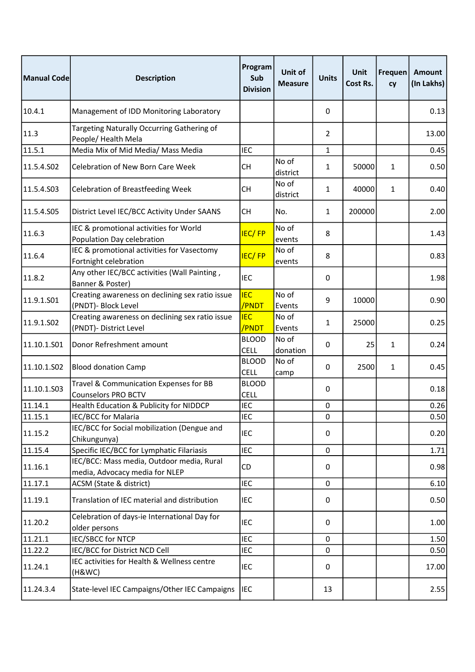| Manual Code | <b>Description</b>                                                          | Program<br>Sub<br><b>Division</b> | Unit of<br><b>Measure</b> | <b>Units</b>   | Unit<br><b>Cost Rs.</b> | Frequen<br>cy | <b>Amount</b><br>(In Lakhs) |
|-------------|-----------------------------------------------------------------------------|-----------------------------------|---------------------------|----------------|-------------------------|---------------|-----------------------------|
| 10.4.1      | Management of IDD Monitoring Laboratory                                     |                                   |                           | 0              |                         |               | 0.13                        |
| 11.3        | Targeting Naturally Occurring Gathering of<br>People/ Health Mela           |                                   |                           | $\overline{2}$ |                         |               | 13.00                       |
| 11.5.1      | Media Mix of Mid Media/ Mass Media                                          | <b>IEC</b>                        |                           | 1              |                         |               | 0.45                        |
| 11.5.4.S02  | Celebration of New Born Care Week                                           | <b>CH</b>                         | No of<br>district         | 1              | 50000                   | 1             | 0.50                        |
| 11.5.4.S03  | <b>Celebration of Breastfeeding Week</b>                                    | <b>CH</b>                         | No of<br>district         | 1              | 40000                   | $\mathbf{1}$  | 0.40                        |
| 11.5.4.S05  | District Level IEC/BCC Activity Under SAANS                                 | <b>CH</b>                         | No.                       | 1              | 200000                  |               | 2.00                        |
| 11.6.3      | IEC & promotional activities for World<br>Population Day celebration        | <b>IEC/FP</b>                     | No of<br>events           | 8              |                         |               | 1.43                        |
| 11.6.4      | IEC & promotional activities for Vasectomy<br>Fortnight celebration         | <b>IEC/FP</b>                     | No of<br>events           | 8              |                         |               | 0.83                        |
| 11.8.2      | Any other IEC/BCC activities (Wall Painting,<br>Banner & Poster)            | <b>IEC</b>                        |                           | 0              |                         |               | 1.98                        |
| 11.9.1.S01  | Creating awareness on declining sex ratio issue<br>(PNDT)- Block Level      | <b>IEC</b><br>/PNDT               | No of<br>Events           | 9              | 10000                   |               | 0.90                        |
| 11.9.1.SO2  | Creating awareness on declining sex ratio issue<br>(PNDT)- District Level   | <b>IEC</b><br>/PNDT               | No of<br>Events           | 1              | 25000                   |               | 0.25                        |
| 11.10.1.S01 | Donor Refreshment amount                                                    | <b>BLOOD</b><br><b>CELL</b>       | No of<br>donation         | 0              | 25                      | 1             | 0.24                        |
| 11.10.1.502 | <b>Blood donation Camp</b>                                                  | <b>BLOOD</b><br><b>CELL</b>       | No of<br>camp             | 0              | 2500                    | $\mathbf{1}$  | 0.45                        |
| 11.10.1.503 | Travel & Communication Expenses for BB<br><b>Counselors PRO BCTV</b>        | <b>BLOOD</b><br><b>CELL</b>       |                           | 0              |                         |               | 0.18                        |
| 11.14.1     | Health Education & Publicity for NIDDCP                                     | <b>IEC</b>                        |                           | 0              |                         |               | 0.26                        |
| 11.15.1     | IEC/BCC for Malaria                                                         | <b>IEC</b>                        |                           | 0              |                         |               | 0.50                        |
| 11.15.2     | IEC/BCC for Social mobilization (Dengue and<br>Chikungunya)                 | <b>IEC</b>                        |                           | 0              |                         |               | 0.20                        |
| 11.15.4     | Specific IEC/BCC for Lymphatic Filariasis                                   | <b>IEC</b>                        |                           | $\mathbf 0$    |                         |               | 1.71                        |
| 11.16.1     | IEC/BCC: Mass media, Outdoor media, Rural<br>media, Advocacy media for NLEP | CD                                |                           | 0              |                         |               | 0.98                        |
| 11.17.1     | ACSM (State & district)                                                     | <b>IEC</b>                        |                           | 0              |                         |               | 6.10                        |
| 11.19.1     | Translation of IEC material and distribution                                | <b>IEC</b>                        |                           | 0              |                         |               | 0.50                        |
| 11.20.2     | Celebration of days-ie International Day for<br>older persons               | <b>IEC</b>                        |                           | 0              |                         |               | 1.00                        |
| 11.21.1     | <b>IEC/SBCC for NTCP</b>                                                    | <b>IEC</b>                        |                           | 0              |                         |               | 1.50                        |
| 11.22.2     | IEC/BCC for District NCD Cell                                               | <b>IEC</b>                        |                           | 0              |                         |               | 0.50                        |
| 11.24.1     | IEC activities for Health & Wellness centre<br>(H&WC)                       | <b>IEC</b>                        |                           | 0              |                         |               | 17.00                       |
| 11.24.3.4   | State-level IEC Campaigns/Other IEC Campaigns                               | <b>IEC</b>                        |                           | 13             |                         |               | 2.55                        |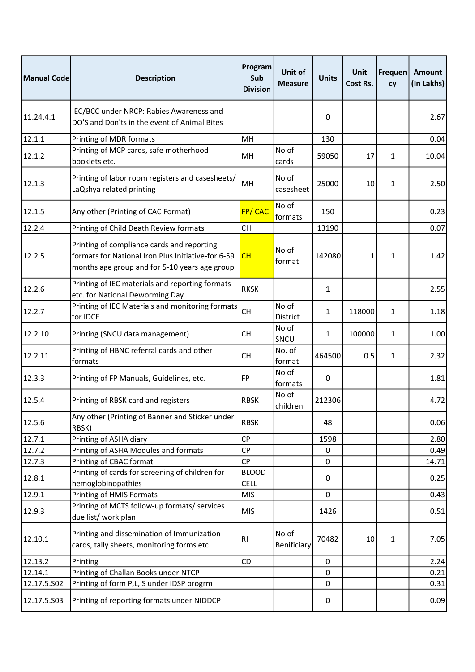| Manual Code      | <b>Description</b>                                                                                                                                | Program<br>Sub<br><b>Division</b>        | Unit of<br><b>Measure</b> | <b>Units</b> | Unit<br>Cost Rs. | Frequen<br>cy | <b>Amount</b><br>(In Lakhs) |
|------------------|---------------------------------------------------------------------------------------------------------------------------------------------------|------------------------------------------|---------------------------|--------------|------------------|---------------|-----------------------------|
| 11.24.4.1        | IEC/BCC under NRCP: Rabies Awareness and<br>DO'S and Don'ts in the event of Animal Bites                                                          |                                          |                           | 0            |                  |               | 2.67                        |
| 12.1.1           | Printing of MDR formats                                                                                                                           | MH                                       |                           | 130          |                  |               | 0.04                        |
| 12.1.2           | Printing of MCP cards, safe motherhood<br>booklets etc.                                                                                           | MH                                       | No of<br>cards            | 59050        | 17               | $\mathbf{1}$  | 10.04                       |
| 12.1.3           | Printing of labor room registers and casesheets/<br>LaQshya related printing                                                                      | MH                                       | No of<br>casesheet        | 25000        | 10               | $\mathbf{1}$  | 2.50                        |
| 12.1.5           | Any other (Printing of CAC Format)                                                                                                                | FP/CAC                                   | No of<br>formats          | 150          |                  |               | 0.23                        |
| 12.2.4           | Printing of Child Death Review formats                                                                                                            | <b>CH</b>                                |                           | 13190        |                  |               | 0.07                        |
| 12.2.5           | Printing of compliance cards and reporting<br>formats for National Iron Plus Initiative-for 6-59<br>months age group and for 5-10 years age group | CH                                       | No of<br>format           | 142080       | $\mathbf{1}$     | $\mathbf{1}$  | 1.42                        |
| 12.2.6           | Printing of IEC materials and reporting formats<br>etc. for National Deworming Day                                                                | <b>RKSK</b>                              |                           | 1            |                  |               | 2.55                        |
| 12.2.7           | Printing of IEC Materials and monitoring formats<br>for IDCF                                                                                      | <b>CH</b>                                | No of<br>District         | 1            | 118000           | $\mathbf{1}$  | 1.18                        |
| 12.2.10          | Printing (SNCU data management)                                                                                                                   | <b>CH</b>                                | No of<br>SNCU             | 1            | 100000           | $\mathbf{1}$  | 1.00                        |
| 12.2.11          | Printing of HBNC referral cards and other<br>formats                                                                                              | <b>CH</b>                                | No. of<br>format          | 464500       | 0.5              | $\mathbf{1}$  | 2.32                        |
| 12.3.3           | Printing of FP Manuals, Guidelines, etc.                                                                                                          | FP                                       | No of<br>formats          | 0            |                  |               | 1.81                        |
| 12.5.4           | Printing of RBSK card and registers                                                                                                               | <b>RBSK</b>                              | No of<br>children         | 212306       |                  |               | 4.72                        |
| 12.5.6           | Any other (Printing of Banner and Sticker under<br>RBSK)                                                                                          | <b>RBSK</b>                              |                           | 48           |                  |               | 0.06                        |
| 12.7.1           | Printing of ASHA diary                                                                                                                            | <b>CP</b>                                |                           | 1598         |                  |               | 2.80                        |
| 12.7.2           | Printing of ASHA Modules and formats                                                                                                              | <b>CP</b>                                |                           | 0            |                  |               | 0.49                        |
| 12.7.3<br>12.8.1 | Printing of CBAC format<br>Printing of cards for screening of children for<br>hemoglobinopathies                                                  | <b>CP</b><br><b>BLOOD</b><br><b>CELL</b> |                           | 0<br>0       |                  |               | 14.71<br>0.25               |
| 12.9.1           | Printing of HMIS Formats                                                                                                                          | <b>MIS</b>                               |                           | 0            |                  |               | 0.43                        |
| 12.9.3           | Printing of MCTS follow-up formats/ services<br>due list/ work plan                                                                               | <b>MIS</b>                               |                           | 1426         |                  |               | 0.51                        |
| 12.10.1          | Printing and dissemination of Immunization<br>cards, tally sheets, monitoring forms etc.                                                          | RI                                       | No of<br>Benificiary      | 70482        | 10               | 1             | 7.05                        |
| 12.13.2          | Printing                                                                                                                                          | CD                                       |                           | $\mathbf 0$  |                  |               | 2.24                        |
| 12.14.1          | Printing of Challan Books under NTCP                                                                                                              |                                          |                           | $\pmb{0}$    |                  |               | 0.21                        |
| 12.17.5.502      | Printing of form P,L, S under IDSP progrm                                                                                                         |                                          |                           | 0            |                  |               | 0.31                        |
| 12.17.5.503      | Printing of reporting formats under NIDDCP                                                                                                        |                                          |                           | 0            |                  |               | 0.09                        |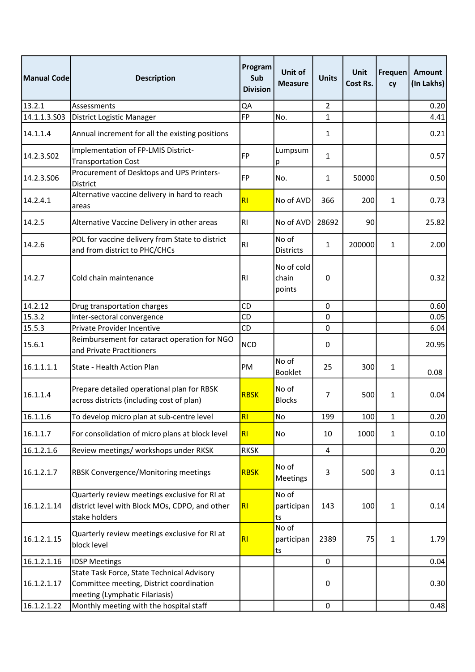| Manual Codel | <b>Description</b>                                                                                                       | Program<br>Sub<br><b>Division</b> | <b>Unit of</b><br><b>Measure</b> | <b>Units</b>   | Unit<br>Cost Rs. | Frequen<br>cy | <b>Amount</b><br>(In Lakhs) |
|--------------|--------------------------------------------------------------------------------------------------------------------------|-----------------------------------|----------------------------------|----------------|------------------|---------------|-----------------------------|
| 13.2.1       | Assessments                                                                                                              | QA                                |                                  | $\overline{2}$ |                  |               | 0.20                        |
| 14.1.1.3.S03 | District Logistic Manager                                                                                                | <b>FP</b>                         | No.                              | 1              |                  |               | 4.41                        |
| 14.1.1.4     | Annual increment for all the existing positions                                                                          |                                   |                                  | 1              |                  |               | 0.21                        |
| 14.2.3.502   | Implementation of FP-LMIS District-<br><b>Transportation Cost</b>                                                        | <b>FP</b>                         | Lumpsum<br>р                     | 1              |                  |               | 0.57                        |
| 14.2.3.506   | Procurement of Desktops and UPS Printers-<br>District                                                                    | <b>FP</b>                         | No.                              | 1              | 50000            |               | 0.50                        |
| 14.2.4.1     | Alternative vaccine delivery in hard to reach<br>areas                                                                   | RI                                | No of AVD                        | 366            | 200              | 1             | 0.73                        |
| 14.2.5       | Alternative Vaccine Delivery in other areas                                                                              | R <sub>l</sub>                    | No of AVD                        | 28692          | 90               |               | 25.82                       |
| 14.2.6       | POL for vaccine delivery from State to district<br>and from district to PHC/CHCs                                         | RI                                | No of<br><b>Districts</b>        | 1              | 200000           | 1             | 2.00                        |
| 14.2.7       | Cold chain maintenance                                                                                                   | R1                                | No of cold<br>chain<br>points    | 0              |                  |               | 0.32                        |
| 14.2.12      | Drug transportation charges                                                                                              | <b>CD</b>                         |                                  | 0              |                  |               | 0.60                        |
| 15.3.2       | Inter-sectoral convergence                                                                                               | <b>CD</b>                         |                                  | 0              |                  |               | 0.05                        |
| 15.5.3       | Private Provider Incentive                                                                                               | CD                                |                                  | 0              |                  |               | 6.04                        |
| 15.6.1       | Reimbursement for cataract operation for NGO<br>and Private Practitioners                                                | <b>NCD</b>                        |                                  | 0              |                  |               | 20.95                       |
| 16.1.1.1.1   | State - Health Action Plan                                                                                               | PM                                | No of<br><b>Booklet</b>          | 25             | 300              | $\mathbf{1}$  | 0.08                        |
| 16.1.1.4     | Prepare detailed operational plan for RBSK<br>across districts (including cost of plan)                                  | <b>RBSK</b>                       | No of<br><b>Blocks</b>           | 7              | 500              | $\mathbf{1}$  | 0.04                        |
| 16.1.1.6     | To develop micro plan at sub-centre level                                                                                | R <sub>l</sub>                    | No                               | 199            | 100              | 1             | 0.20                        |
| 16.1.1.7     | For consolidation of micro plans at block level                                                                          | RI                                | No                               | 10             | 1000             | $\mathbf{1}$  | 0.10                        |
| 16.1.2.1.6   | Review meetings/ workshops under RKSK                                                                                    | <b>RKSK</b>                       |                                  | 4              |                  |               | 0.20                        |
| 16.1.2.1.7   | <b>RBSK Convergence/Monitoring meetings</b>                                                                              | <b>RBSK</b>                       | No of<br>Meetings                | 3              | 500              | 3             | 0.11                        |
| 16.1.2.1.14  | Quarterly review meetings exclusive for RI at<br>district level with Block MOs, CDPO, and other<br>stake holders         | RI                                | No of<br>participan<br>ts        | 143            | 100              | $\mathbf{1}$  | 0.14                        |
| 16.1.2.1.15  | Quarterly review meetings exclusive for RI at<br>block level                                                             | RI                                | No of<br>participan<br>ts        | 2389           | 75               | $\mathbf{1}$  | 1.79                        |
| 16.1.2.1.16  | <b>IDSP Meetings</b>                                                                                                     |                                   |                                  | $\mathbf 0$    |                  |               | 0.04                        |
| 16.1.2.1.17  | State Task Force, State Technical Advisory<br>Committee meeting, District coordination<br>meeting (Lymphatic Filariasis) |                                   |                                  | 0              |                  |               | 0.30                        |
| 16.1.2.1.22  | Monthly meeting with the hospital staff                                                                                  |                                   |                                  | $\mathbf 0$    |                  |               | 0.48                        |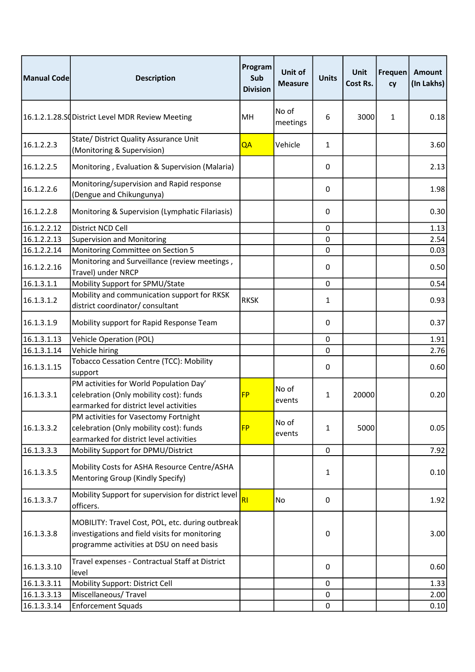| Manual Code | <b>Description</b>                                                                                                                              | Program<br>Sub<br><b>Division</b> | Unit of<br><b>Measure</b> | <b>Units</b> | Unit<br><b>Cost Rs.</b> | <b>Frequen</b><br>cy | <b>Amount</b><br>(In Lakhs) |
|-------------|-------------------------------------------------------------------------------------------------------------------------------------------------|-----------------------------------|---------------------------|--------------|-------------------------|----------------------|-----------------------------|
|             | 16.1.2.1.28.SC District Level MDR Review Meeting                                                                                                | MH                                | No of<br>meetings         | 6            | 3000                    | $\mathbf{1}$         | 0.18                        |
| 16.1.2.2.3  | State/ District Quality Assurance Unit<br>(Monitoring & Supervision)                                                                            | QA                                | Vehicle                   | 1            |                         |                      | 3.60                        |
| 16.1.2.2.5  | Monitoring, Evaluation & Supervision (Malaria)                                                                                                  |                                   |                           | 0            |                         |                      | 2.13                        |
| 16.1.2.2.6  | Monitoring/supervision and Rapid response<br>(Dengue and Chikungunya)                                                                           |                                   |                           | 0            |                         |                      | 1.98                        |
| 16.1.2.2.8  | Monitoring & Supervision (Lymphatic Filariasis)                                                                                                 |                                   |                           | 0            |                         |                      | 0.30                        |
| 16.1.2.2.12 | District NCD Cell                                                                                                                               |                                   |                           | 0            |                         |                      | 1.13                        |
| 16.1.2.2.13 | <b>Supervision and Monitoring</b>                                                                                                               |                                   |                           | 0            |                         |                      | 2.54                        |
| 16.1.2.2.14 | Monitoring Committee on Section 5                                                                                                               |                                   |                           | 0            |                         |                      | 0.03                        |
| 16.1.2.2.16 | Monitoring and Surveillance (review meetings,<br>Travel) under NRCP                                                                             |                                   |                           | 0            |                         |                      | 0.50                        |
| 16.1.3.1.1  | Mobility Support for SPMU/State                                                                                                                 |                                   |                           | 0            |                         |                      | 0.54                        |
| 16.1.3.1.2  | Mobility and communication support for RKSK<br>district coordinator/ consultant                                                                 | <b>RKSK</b>                       |                           | 1            |                         |                      | 0.93                        |
| 16.1.3.1.9  | Mobility support for Rapid Response Team                                                                                                        |                                   |                           | 0            |                         |                      | 0.37                        |
| 16.1.3.1.13 | <b>Vehicle Operation (POL)</b>                                                                                                                  |                                   |                           | 0            |                         |                      | 1.91                        |
| 16.1.3.1.14 | Vehicle hiring                                                                                                                                  |                                   |                           | 0            |                         |                      | 2.76                        |
| 16.1.3.1.15 | <b>Tobacco Cessation Centre (TCC): Mobility</b><br>support                                                                                      |                                   |                           | 0            |                         |                      | 0.60                        |
| 16.1.3.3.1  | PM activities for World Population Day'<br>celebration (Only mobility cost): funds<br>earmarked for district level activities                   | <b>FP</b>                         | No of<br>events           | 1            | 20000                   |                      | 0.20                        |
| 16.1.3.3.2  | PM activities for Vasectomy Fortnight<br>celebration (Only mobility cost): funds<br>earmarked for district level activities                     | <b>FP</b>                         | No of<br>events           | 1            | 5000                    |                      | 0.05                        |
| 16.1.3.3.3  | Mobility Support for DPMU/District                                                                                                              |                                   |                           | $\mathbf 0$  |                         |                      | 7.92                        |
| 16.1.3.3.5  | Mobility Costs for ASHA Resource Centre/ASHA<br>Mentoring Group (Kindly Specify)                                                                |                                   |                           | 1            |                         |                      | 0.10                        |
| 16.1.3.3.7  | Mobility Support for supervision for district level<br>officers.                                                                                | RI                                | No                        | 0            |                         |                      | 1.92                        |
| 16.1.3.3.8  | MOBILITY: Travel Cost, POL, etc. during outbreak<br>investigations and field visits for monitoring<br>programme activities at DSU on need basis |                                   |                           | 0            |                         |                      | 3.00                        |
| 16.1.3.3.10 | Travel expenses - Contractual Staff at District<br>level                                                                                        |                                   |                           | 0            |                         |                      | 0.60                        |
| 16.1.3.3.11 | Mobility Support: District Cell                                                                                                                 |                                   |                           | 0            |                         |                      | 1.33                        |
| 16.1.3.3.13 | Miscellaneous/Travel                                                                                                                            |                                   |                           | 0            |                         |                      | 2.00                        |
| 16.1.3.3.14 | <b>Enforcement Squads</b>                                                                                                                       |                                   |                           | 0            |                         |                      | 0.10                        |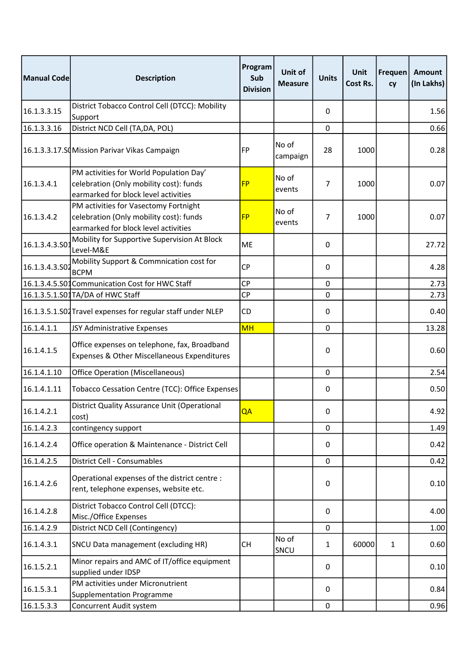| Manual Code   | <b>Description</b>                                                                                                         | Program<br>Sub<br><b>Division</b> | <b>Unit of</b><br><b>Measure</b> | <b>Units</b>   | Unit<br>Cost Rs. | Frequen<br>cy | <b>Amount</b><br>(In Lakhs) |
|---------------|----------------------------------------------------------------------------------------------------------------------------|-----------------------------------|----------------------------------|----------------|------------------|---------------|-----------------------------|
| 16.1.3.3.15   | District Tobacco Control Cell (DTCC): Mobility<br>Support                                                                  |                                   |                                  | 0              |                  |               | 1.56                        |
| 16.1.3.3.16   | District NCD Cell (TA,DA, POL)                                                                                             |                                   |                                  | $\mathbf 0$    |                  |               | 0.66                        |
|               | 16.1.3.3.17.SCMission Parivar Vikas Campaign                                                                               | <b>FP</b>                         | No of<br>campaign                | 28             | 1000             |               | 0.28                        |
| 16.1.3.4.1    | PM activities for World Population Day'<br>celebration (Only mobility cost): funds<br>earmarked for block level activities | <b>FP</b>                         | No of<br>events                  | $\overline{7}$ | 1000             |               | 0.07                        |
| 16.1.3.4.2    | PM activities for Vasectomy Fortnight<br>celebration (Only mobility cost): funds<br>earmarked for block level activities   | <b>FP</b>                         | No of<br>events                  | 7              | 1000             |               | 0.07                        |
| 16.1.3.4.3.SO | Mobility for Supportive Supervision At Block<br>Level-M&E                                                                  | <b>ME</b>                         |                                  | 0              |                  |               | 27.72                       |
| 16.1.3.4.3.50 | Mobility Support & Commnication cost for<br><b>BCPM</b>                                                                    | <b>CP</b>                         |                                  | 0              |                  |               | 4.28                        |
|               | 16.1.3.4.5.S01 Communication Cost for HWC Staff                                                                            | <b>CP</b>                         |                                  | $\mathbf 0$    |                  |               | 2.73                        |
|               | 16.1.3.5.1.S01TA/DA of HWC Staff                                                                                           | <b>CP</b>                         |                                  | 0              |                  |               | 2.73                        |
|               | 16.1.3.5.1.S02 Travel expenses for regular staff under NLEP                                                                | CD                                |                                  | 0              |                  |               | 0.40                        |
| 16.1.4.1.1    | JSY Administrative Expenses                                                                                                | <b>MH</b>                         |                                  | 0              |                  |               | 13.28                       |
| 16.1.4.1.5    | Office expenses on telephone, fax, Broadband<br>Expenses & Other Miscellaneous Expenditures                                |                                   |                                  | 0              |                  |               | 0.60                        |
| 16.1.4.1.10   | Office Operation (Miscellaneous)                                                                                           |                                   |                                  | 0              |                  |               | 2.54                        |
| 16.1.4.1.11   | Tobacco Cessation Centre (TCC): Office Expenses                                                                            |                                   |                                  | 0              |                  |               | 0.50                        |
| 16.1.4.2.1    | District Quality Assurance Unit (Operational<br>cost)                                                                      | QA                                |                                  | 0              |                  |               | 4.92                        |
| 16.1.4.2.3    | contingency support                                                                                                        |                                   |                                  | 0              |                  |               | 1.49                        |
| 16.1.4.2.4    | Office operation & Maintenance - District Cell                                                                             |                                   |                                  | 0              |                  |               | 0.42                        |
| 16.1.4.2.5    | District Cell - Consumables                                                                                                |                                   |                                  | 0              |                  |               | 0.42                        |
| 16.1.4.2.6    | Operational expenses of the district centre :<br>rent, telephone expenses, website etc.                                    |                                   |                                  | 0              |                  |               | 0.10                        |
| 16.1.4.2.8    | District Tobacco Control Cell (DTCC):<br>Misc./Office Expenses                                                             |                                   |                                  | 0              |                  |               | 4.00                        |
| 16.1.4.2.9    | District NCD Cell (Contingency)                                                                                            |                                   |                                  | 0              |                  |               | 1.00                        |
| 16.1.4.3.1    | SNCU Data management (excluding HR)                                                                                        | СH                                | No of<br>SNCU                    | 1              | 60000            | $\mathbf{1}$  | 0.60                        |
| 16.1.5.2.1    | Minor repairs and AMC of IT/office equipment<br>supplied under IDSP                                                        |                                   |                                  | $\Omega$       |                  |               | 0.10                        |
| 16.1.5.3.1    | PM activities under Micronutrient<br><b>Supplementation Programme</b>                                                      |                                   |                                  | 0              |                  |               | 0.84                        |
| 16.1.5.3.3    | Concurrent Audit system                                                                                                    |                                   |                                  | $\mathbf 0$    |                  |               | 0.96                        |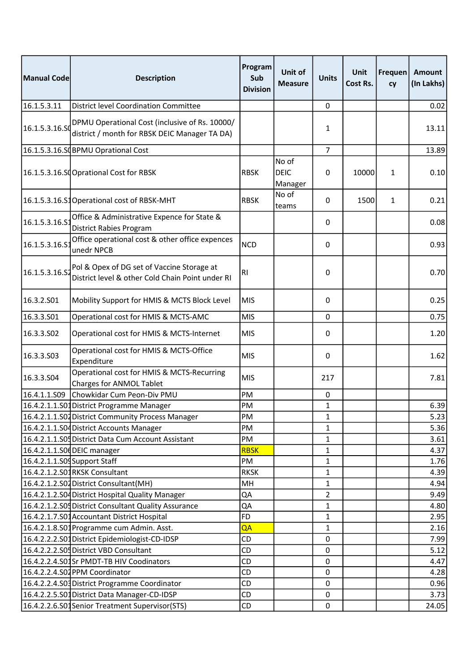| Manual Code                  | <b>Description</b>                                                                              | Program<br>Sub<br><b>Division</b> | Unit of<br><b>Measure</b>       | <b>Units</b>   | Unit<br>Cost Rs. | Frequen <br>cy | <b>Amount</b><br>(In Lakhs) |
|------------------------------|-------------------------------------------------------------------------------------------------|-----------------------------------|---------------------------------|----------------|------------------|----------------|-----------------------------|
| 16.1.5.3.11                  | District level Coordination Committee                                                           |                                   |                                 | $\pmb{0}$      |                  |                | 0.02                        |
| 16.1.5.3.16.SO               | DPMU Operational Cost (inclusive of Rs. 10000/<br>district / month for RBSK DEIC Manager TA DA) |                                   |                                 | $\mathbf{1}$   |                  |                | 13.11                       |
|                              | 16.1.5.3.16.SCBPMU Oprational Cost                                                              |                                   |                                 | $\overline{7}$ |                  |                | 13.89                       |
|                              | 16.1.5.3.16.SCOprational Cost for RBSK                                                          | <b>RBSK</b>                       | No of<br><b>DEIC</b><br>Manager | 0              | 10000            | 1              | 0.10                        |
|                              | 16.1.5.3.16.S1Operational cost of RBSK-MHT                                                      | <b>RBSK</b>                       | No of<br>teams                  | 0              | 1500             | $\mathbf{1}$   | 0.21                        |
| 16.1.5.3.16.S                | Office & Administrative Expence for State &<br><b>District Rabies Program</b>                   |                                   |                                 | 0              |                  |                | 0.08                        |
| 16.1.5.3.16.S                | Office operational cost & other office expences<br>unedr NPCB                                   | <b>NCD</b>                        |                                 | 0              |                  |                | 0.93                        |
| 16.1.5.3.16.S2               | Pol & Opex of DG set of Vaccine Storage at<br>District level & other Cold Chain Point under RI  | <b>RI</b>                         |                                 | 0              |                  |                | 0.70                        |
| 16.3.2.501                   | Mobility Support for HMIS & MCTS Block Level                                                    | <b>MIS</b>                        |                                 | 0              |                  |                | 0.25                        |
| 16.3.3.S01                   | Operational cost for HMIS & MCTS-AMC                                                            | <b>MIS</b>                        |                                 | 0              |                  |                | 0.75                        |
| 16.3.3.502                   | Operational cost for HMIS & MCTS-Internet                                                       | <b>MIS</b>                        |                                 | 0              |                  |                | 1.20                        |
| 16.3.3.503                   | Operational cost for HMIS & MCTS-Office<br>Expenditure                                          | <b>MIS</b>                        |                                 | 0              |                  |                | 1.62                        |
| 16.3.3.504                   | Operational cost for HMIS & MCTS-Recurring<br>Charges for ANMOL Tablet                          | <b>MIS</b>                        |                                 | 217            |                  |                | 7.81                        |
| 16.4.1.1.S09                 | Chowkidar Cum Peon-Div PMU                                                                      | PM                                |                                 | 0              |                  |                |                             |
|                              | 16.4.2.1.1.S01 District Programme Manager                                                       | PM                                |                                 | 1              |                  |                | 6.39                        |
|                              | 16.4.2.1.1.S04 District Community Process Manager                                               | PM                                |                                 | 1              |                  |                | 5.23                        |
|                              | 16.4.2.1.1.S04 District Accounts Manager                                                        | PM                                |                                 | 1              |                  |                | 5.36                        |
|                              | 16.4.2.1.1.S05 District Data Cum Account Assistant                                              | PM                                |                                 | 1              |                  |                | 3.61                        |
|                              | 16.4.2.1.1.S00 DEIC manager                                                                     | <b>RBSK</b>                       |                                 | 1              |                  |                | 4.37                        |
| 16.4.2.1.1.S09 Support Staff |                                                                                                 | PM                                |                                 | 1              |                  |                | 1.76                        |
|                              | 16.4.2.1.2.S01RKSK Consultant                                                                   | <b>RKSK</b>                       |                                 | 1              |                  |                | 4.39                        |
|                              | 16.4.2.1.2.S02 District Consultant(MH)                                                          | MH                                |                                 | 1              |                  |                | 4.94                        |
|                              | 16.4.2.1.2.S04 District Hospital Quality Manager                                                | QA                                |                                 | $\overline{2}$ |                  |                | 9.49                        |
|                              | 16.4.2.1.2.S05 District Consultant Quality Assurance                                            | QA                                |                                 | 1              |                  |                | 4.80                        |
|                              | 16.4.2.1.7.S01 Accountant District Hospital                                                     | <b>FD</b>                         |                                 | 1              |                  |                | 2.95                        |
|                              | 16.4.2.1.8.S01 Programme cum Admin. Asst.                                                       | QA                                |                                 | 1              |                  |                | 2.16                        |
|                              | 16.4.2.2.2.S01 District Epidemiologist-CD-IDSP                                                  | CD                                |                                 | 0              |                  |                | 7.99                        |
|                              | 16.4.2.2.2.S05 District VBD Consultant                                                          | CD                                |                                 | 0              |                  |                | 5.12                        |
|                              | 16.4.2.2.4.S01Sr PMDT-TB HIV Coodinators                                                        | CD                                |                                 | 0              |                  |                | 4.47                        |
|                              | 16.4.2.2.4.S02 PPM Coordinator                                                                  | CD                                |                                 | 0              |                  |                | 4.28                        |
|                              | 16.4.2.2.4.S03 District Programme Coordinator                                                   | CD                                |                                 | 0              |                  |                | 0.96                        |
|                              | 16.4.2.2.5.S01 District Data Manager-CD-IDSP                                                    | <b>CD</b>                         |                                 | 0              |                  |                | 3.73                        |
|                              | 16.4.2.2.6.S01Senior Treatment Supervisor(STS)                                                  | CD                                |                                 | $\pmb{0}$      |                  |                | 24.05                       |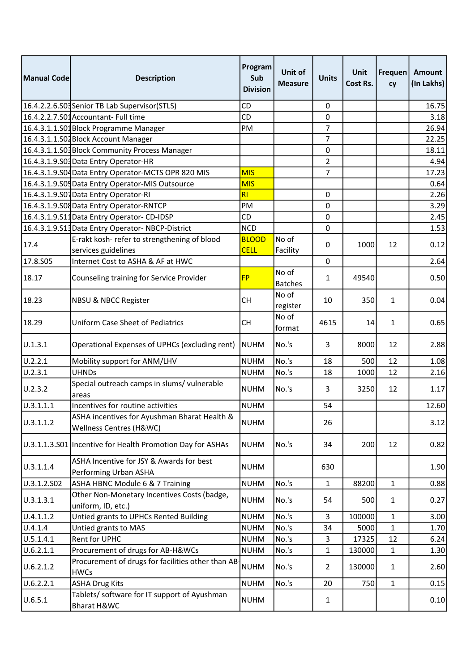| Manual Code | <b>Description</b>                                                      | Program<br>Sub<br><b>Division</b> | Unit of<br><b>Measure</b> | <b>Units</b>   | <b>Unit</b><br>Cost Rs. | <b>Frequen</b><br>cy | <b>Amount</b><br>(In Lakhs) |
|-------------|-------------------------------------------------------------------------|-----------------------------------|---------------------------|----------------|-------------------------|----------------------|-----------------------------|
|             | 16.4.2.2.6.S03Senior TB Lab Supervisor(STLS)                            | CD                                |                           | 0              |                         |                      | 16.75                       |
|             | 16.4.2.2.7.S01Accountant- Full time                                     | CD                                |                           | 0              |                         |                      | 3.18                        |
|             | 16.4.3.1.1.S01Block Programme Manager                                   | PM                                |                           | $\overline{7}$ |                         |                      | 26.94                       |
|             | 16.4.3.1.1.S02 Block Account Manager                                    |                                   |                           | 7              |                         |                      | 22.25                       |
|             | 16.4.3.1.1.S03 Block Community Process Manager                          |                                   |                           | 0              |                         |                      | 18.11                       |
|             | 16.4.3.1.9.S03 Data Entry Operator-HR                                   |                                   |                           | $\overline{2}$ |                         |                      | 4.94                        |
|             | 16.4.3.1.9. SO4 Data Entry Operator-MCTS OPR 820 MIS                    | <b>MIS</b>                        |                           | 7              |                         |                      | 17.23                       |
|             | 16.4.3.1.9.S04 Data Entry Operator-MIS Outsource                        | <b>MIS</b>                        |                           |                |                         |                      | 0.64                        |
|             | 16.4.3.1.9.S07Data Entry Operator-RI                                    | RI                                |                           | $\mathbf 0$    |                         |                      | 2.26                        |
|             | 16.4.3.1.9.S08 Data Entry Operator-RNTCP                                | PM                                |                           | 0              |                         |                      | 3.29                        |
|             | 16.4.3.1.9.S11Data Entry Operator-CD-IDSP                               | CD                                |                           | 0              |                         |                      | 2.45                        |
|             | 16.4.3.1.9.S13 Data Entry Operator-NBCP-District                        | <b>NCD</b>                        |                           | 0              |                         |                      | 1.53                        |
| 17.4        | E-rakt kosh- refer to strengthening of blood                            | <b>BLOOD</b>                      | No of                     | 0              | 1000                    | 12                   | 0.12                        |
|             | services guidelines                                                     | <b>CELL</b>                       | Facility                  |                |                         |                      |                             |
| 17.8.S05    | Internet Cost to ASHA & AF at HWC                                       |                                   |                           | 0              |                         |                      | 2.64                        |
| 18.17       | Counseling training for Service Provider                                | <b>FP</b>                         | No of<br><b>Batches</b>   | 1              | 49540                   |                      | 0.50                        |
| 18.23       | <b>NBSU &amp; NBCC Register</b>                                         | СH                                | No of<br>register         | 10             | 350                     | 1                    | 0.04                        |
| 18.29       | <b>Uniform Case Sheet of Pediatrics</b>                                 | <b>CH</b>                         | No of<br>format           | 4615           | 14                      | $\mathbf{1}$         | 0.65                        |
| U.1.3.1     | Operational Expenses of UPHCs (excluding rent)                          | <b>NUHM</b>                       | No.'s                     | 3              | 8000                    | 12                   | 2.88                        |
| U.2.2.1     | Mobility support for ANM/LHV                                            | <b>NUHM</b>                       | No.'s                     | 18             | 500                     | 12                   | 1.08                        |
| U.2.3.1     | <b>UHNDs</b>                                                            | <b>NUHM</b>                       | No.'s                     | 18             | 1000                    | 12                   | 2.16                        |
| U.2.3.2     | Special outreach camps in slums/ vulnerable<br>areas                    | <b>NUHM</b>                       | No.'s                     | 3              | 3250                    | 12                   | 1.17                        |
| U.3.1.1.1   | Incentives for routine activities                                       | <b>NUHM</b>                       |                           | 54             |                         |                      | 12.60                       |
| U.3.1.1.2   | ASHA incentives for Ayushman Bharat Health &<br>Wellness Centres (H&WC) | <b>NUHM</b>                       |                           | 26             |                         |                      | 3.12                        |
|             | U.3.1.1.3.S01 Incentive for Health Promotion Day for ASHAs              | <b>NUHM</b>                       | No.'s                     | 34             | 200                     | 12                   | 0.82                        |
| U.3.1.1.4   | ASHA Incentive for JSY & Awards for best<br>Performing Urban ASHA       | <b>NUHM</b>                       |                           | 630            |                         |                      | 1.90                        |
| U.3.1.2.S02 | ASHA HBNC Module 6 & 7 Training                                         | <b>NUHM</b>                       | No.'s                     | 1              | 88200                   | $\mathbf{1}$         | 0.88                        |
| U.3.1.3.1   | Other Non-Monetary Incentives Costs (badge,                             | <b>NUHM</b>                       | No.'s                     | 54             | 500                     | 1                    | 0.27                        |
|             | uniform, ID, etc.)                                                      |                                   |                           |                |                         |                      |                             |
| U.4.1.1.2   | Untied grants to UPHCs Rented Building                                  | <b>NUHM</b>                       | No.'s                     | 3              | 100000                  | 1                    | 3.00                        |
| U.4.1.4     | Untied grants to MAS                                                    | <b>NUHM</b>                       | No.'s                     | 34             | 5000                    | $\mathbf 1$          | 1.70                        |
| U.5.1.4.1   | Rent for UPHC                                                           | <b>NUHM</b>                       | No.'s                     | 3              | 17325                   | 12                   | 6.24                        |
| U.6.2.1.1   | Procurement of drugs for AB-H&WCs                                       | <b>NUHM</b>                       | No.'s                     | 1              | 130000                  | $\mathbf{1}$         | 1.30                        |
| U.6.2.1.2   | Procurement of drugs for facilities other than AB-<br><b>HWCs</b>       | <b>NUHM</b>                       | No.'s                     | $\overline{2}$ | 130000                  | 1                    | 2.60                        |
| U.6.2.2.1   | <b>ASHA Drug Kits</b>                                                   | <b>NUHM</b>                       | No.'s                     | 20             | 750                     | $\mathbf{1}$         | 0.15                        |
| U.6.5.1     | Tablets/ software for IT support of Ayushman<br>Bharat H&WC             | <b>NUHM</b>                       |                           | $\mathbf{1}$   |                         |                      | 0.10                        |